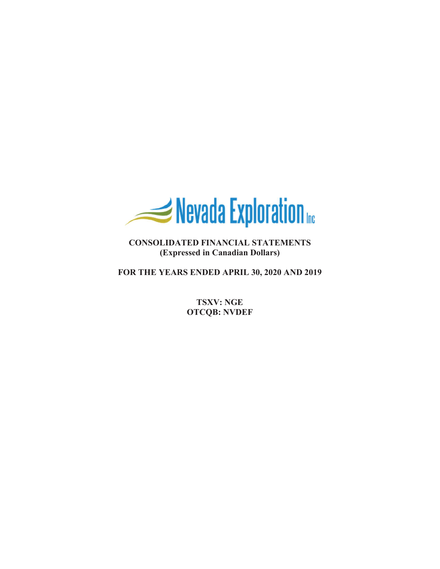

**CONSOLIDATED FINANCIAL STATEMENTS (Expressed in Canadian Dollars)**

**FOR THE YEARS ENDED APRIL 30, 2020 AND 2019**

**TSXV: NGE OTCQB: NVDEF**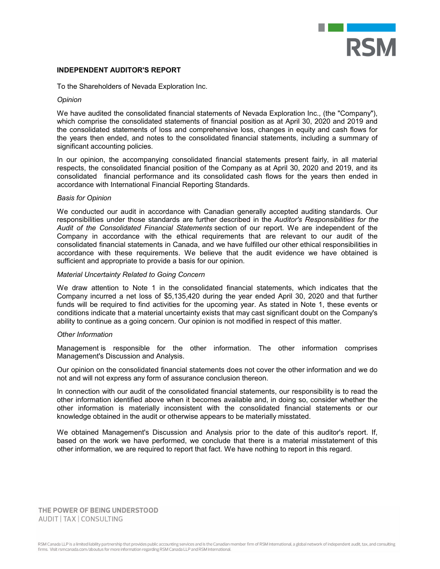

### **INDEPENDENT AUDITOR'S REPORT**

To the Shareholders of Nevada Exploration Inc.

#### *Opinion*

We have audited the consolidated financial statements of Nevada Exploration Inc., (the "Company"), which comprise the consolidated statements of financial position as at April 30, 2020 and 2019 and the consolidated statements of loss and comprehensive loss, changes in equity and cash flows for the years then ended, and notes to the consolidated financial statements, including a summary of significant accounting policies.

In our opinion, the accompanying consolidated financial statements present fairly, in all material respects, the consolidated financial position of the Company as at April 30, 2020 and 2019, and its consolidated financial performance and its consolidated cash flows for the years then ended in accordance with International Financial Reporting Standards.

#### *Basis for Opinion*

We conducted our audit in accordance with Canadian generally accepted auditing standards. Our responsibilities under those standards are further described in the *Auditor's Responsibilities for the Audit of the Consolidated Financial Statements* section of our report. We are independent of the Company in accordance with the ethical requirements that are relevant to our audit of the consolidated financial statements in Canada, and we have fulfilled our other ethical responsibilities in accordance with these requirements. We believe that the audit evidence we have obtained is sufficient and appropriate to provide a basis for our opinion.

#### *Material Uncertainty Related to Going Concern*

We draw attention to Note 1 in the consolidated financial statements, which indicates that the Company incurred a net loss of \$5,135,420 during the year ended April 30, 2020 and that further funds will be required to find activities for the upcoming year. As stated in Note 1, these events or conditions indicate that a material uncertainty exists that may cast significant doubt on the Company's ability to continue as a going concern. Our opinion is not modified in respect of this matter.

#### *Other Information*

Management is responsible for the other information. The other information comprises Management's Discussion and Analysis.

Our opinion on the consolidated financial statements does not cover the other information and we do not and will not express any form of assurance conclusion thereon.

In connection with our audit of the consolidated financial statements, our responsibility is to read the other information identified above when it becomes available and, in doing so, consider whether the other information is materially inconsistent with the consolidated financial statements or our knowledge obtained in the audit or otherwise appears to be materially misstated.

We obtained Management's Discussion and Analysis prior to the date of this auditor's report. If, based on the work we have performed, we conclude that there is a material misstatement of this other information, we are required to report that fact. We have nothing to report in this regard.

THE POWER OF BEING UNDERSTOOD **AUDIT | TAX | CONSULTING**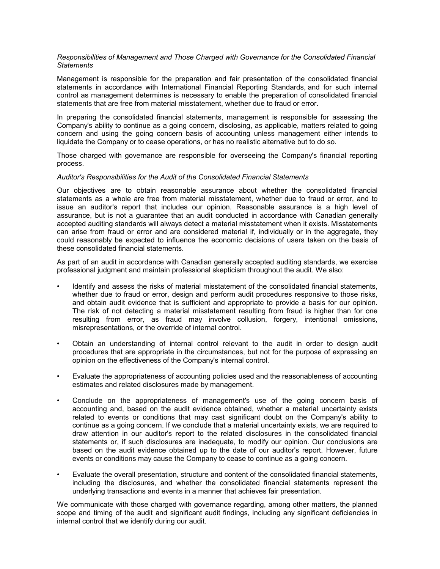### *Responsibilities of Management and Those Charged with Governance for the Consolidated Financial Statements*

Management is responsible for the preparation and fair presentation of the consolidated financial statements in accordance with International Financial Reporting Standards, and for such internal control as management determines is necessary to enable the preparation of consolidated financial statements that are free from material misstatement, whether due to fraud or error.

In preparing the consolidated financial statements, management is responsible for assessing the Company's ability to continue as a going concern, disclosing, as applicable, matters related to going concern and using the going concern basis of accounting unless management either intends to liquidate the Company or to cease operations, or has no realistic alternative but to do so.

Those charged with governance are responsible for overseeing the Company's financial reporting process.

#### *Auditor's Responsibilities for the Audit of the Consolidated Financial Statements*

Our objectives are to obtain reasonable assurance about whether the consolidated financial statements as a whole are free from material misstatement, whether due to fraud or error, and to issue an auditor's report that includes our opinion. Reasonable assurance is a high level of assurance, but is not a guarantee that an audit conducted in accordance with Canadian generally accepted auditing standards will always detect a material misstatement when it exists. Misstatements can arise from fraud or error and are considered material if, individually or in the aggregate, they could reasonably be expected to influence the economic decisions of users taken on the basis of these consolidated financial statements.

As part of an audit in accordance with Canadian generally accepted auditing standards, we exercise professional judgment and maintain professional skepticism throughout the audit. We also:

- Identify and assess the risks of material misstatement of the consolidated financial statements, whether due to fraud or error, design and perform audit procedures responsive to those risks, and obtain audit evidence that is sufficient and appropriate to provide a basis for our opinion. The risk of not detecting a material misstatement resulting from fraud is higher than for one resulting from error, as fraud may involve collusion, forgery, intentional omissions, misrepresentations, or the override of internal control.
- Obtain an understanding of internal control relevant to the audit in order to design audit procedures that are appropriate in the circumstances, but not for the purpose of expressing an opinion on the effectiveness of the Company's internal control.
- Evaluate the appropriateness of accounting policies used and the reasonableness of accounting estimates and related disclosures made by management.
- Conclude on the appropriateness of management's use of the going concern basis of accounting and, based on the audit evidence obtained, whether a material uncertainty exists related to events or conditions that may cast significant doubt on the Company's ability to continue as a going concern. If we conclude that a material uncertainty exists, we are required to draw attention in our auditor's report to the related disclosures in the consolidated financial statements or, if such disclosures are inadequate, to modify our opinion. Our conclusions are based on the audit evidence obtained up to the date of our auditor's report. However, future events or conditions may cause the Company to cease to continue as a going concern.
- Evaluate the overall presentation, structure and content of the consolidated financial statements, including the disclosures, and whether the consolidated financial statements represent the underlying transactions and events in a manner that achieves fair presentation.

We communicate with those charged with governance regarding, among other matters, the planned scope and timing of the audit and significant audit findings, including any significant deficiencies in internal control that we identify during our audit.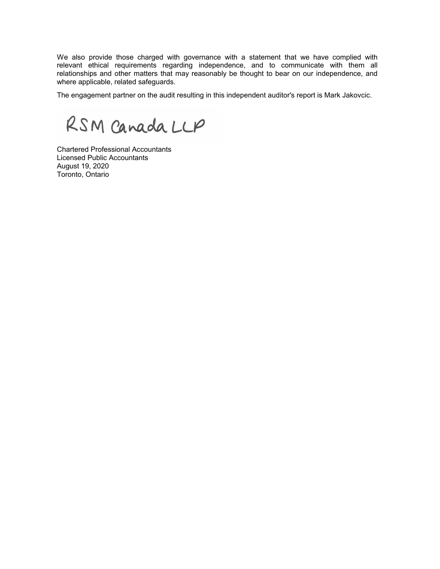We also provide those charged with governance with a statement that we have complied with relevant ethical requirements regarding independence, and to communicate with them all relationships and other matters that may reasonably be thought to bear on our independence, and where applicable, related safeguards.

The engagement partner on the audit resulting in this independent auditor's report is Mark Jakovcic.

RSM Canada LLP

Chartered Professional Accountants Licensed Public Accountants August 19, 2020 Toronto, Ontario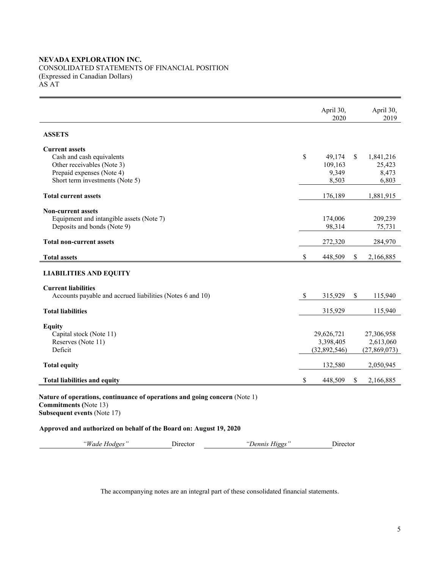# **NEVADA EXPLORATION INC.** CONSOLIDATED STATEMENTS OF FINANCIAL POSITION (Expressed in Canadian Dollars) AS AT

Ξ

|                                                                                                                                           |              | April 30,<br>2020 |               | April 30,<br>2019 |
|-------------------------------------------------------------------------------------------------------------------------------------------|--------------|-------------------|---------------|-------------------|
| <b>ASSETS</b>                                                                                                                             |              |                   |               |                   |
| <b>Current assets</b>                                                                                                                     |              |                   |               |                   |
| Cash and cash equivalents                                                                                                                 | $\mathbb{S}$ | 49,174            | <sup>\$</sup> | 1,841,216         |
| Other receivables (Note 3)                                                                                                                |              | 109,163           |               | 25,423            |
| Prepaid expenses (Note 4)                                                                                                                 |              | 9,349             |               | 8,473             |
| Short term investments (Note 5)                                                                                                           |              | 8,503             |               | 6,803             |
| <b>Total current assets</b>                                                                                                               |              | 176,189           |               | 1,881,915         |
| <b>Non-current assets</b>                                                                                                                 |              |                   |               |                   |
| Equipment and intangible assets (Note 7)                                                                                                  |              | 174,006           |               | 209,239           |
| Deposits and bonds (Note 9)                                                                                                               |              | 98,314            |               | 75,731            |
| <b>Total non-current assets</b>                                                                                                           |              | 272,320           |               | 284,970           |
| <b>Total assets</b>                                                                                                                       | \$           | 448,509           | \$            | 2,166,885         |
| <b>LIABILITIES AND EQUITY</b>                                                                                                             |              |                   |               |                   |
| <b>Current liabilities</b>                                                                                                                |              |                   |               |                   |
| Accounts payable and accrued liabilities (Notes 6 and 10)                                                                                 | \$           | 315,929           | \$            | 115,940           |
| <b>Total liabilities</b>                                                                                                                  |              | 315,929           |               | 115,940           |
| <b>Equity</b>                                                                                                                             |              |                   |               |                   |
| Capital stock (Note 11)                                                                                                                   |              | 29,626,721        |               | 27,306,958        |
| Reserves (Note 11)                                                                                                                        |              | 3,398,405         |               | 2,613,060         |
| Deficit                                                                                                                                   |              | (32,892,546)      |               | (27,869,073)      |
| <b>Total equity</b>                                                                                                                       |              | 132,580           |               | 2,050,945         |
| <b>Total liabilities and equity</b>                                                                                                       | \$           | 448,509           | \$            | 2,166,885         |
| Nature of operations, continuance of operations and going concern (Note 1)<br><b>Commitments</b> (Note 13)<br>Subsequent events (Note 17) |              |                   |               |                   |

# **Approved and authorized on behalf of the Board on: August 19, 2020**

*"Wade Hodges"* Director *"Dennis Higgs"* Director

The accompanying notes are an integral part of these consolidated financial statements.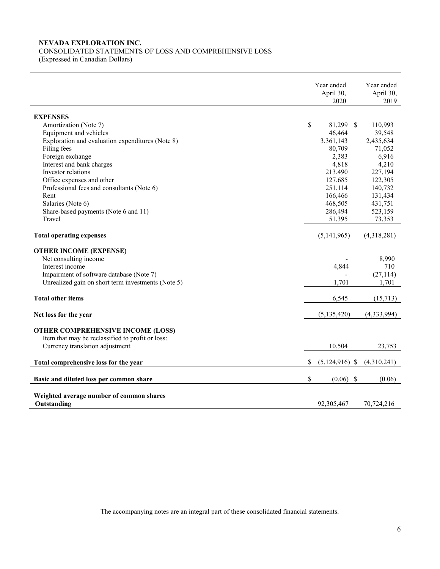# **NEVADA EXPLORATION INC.**

CONSOLIDATED STATEMENTS OF LOSS AND COMPREHENSIVE LOSS

(Expressed in Canadian Dollars)

|                                                                                                                                 | Year ended<br>April 30,<br>2020 |             |  |
|---------------------------------------------------------------------------------------------------------------------------------|---------------------------------|-------------|--|
| <b>EXPENSES</b>                                                                                                                 |                                 |             |  |
| Amortization (Note 7)                                                                                                           | \$<br>81,299 \$                 | 110,993     |  |
| Equipment and vehicles                                                                                                          | 46,464                          | 39,548      |  |
| Exploration and evaluation expenditures (Note 8)                                                                                | 3,361,143                       | 2,435,634   |  |
| Filing fees                                                                                                                     | 80,709                          | 71,052      |  |
| Foreign exchange                                                                                                                | 2,383                           | 6,916       |  |
| Interest and bank charges                                                                                                       | 4,818                           | 4,210       |  |
| Investor relations                                                                                                              | 213,490                         | 227,194     |  |
| Office expenses and other                                                                                                       | 127,685                         | 122,305     |  |
| Professional fees and consultants (Note 6)                                                                                      | 251,114                         | 140,732     |  |
| Rent                                                                                                                            | 166,466                         | 131,434     |  |
| Salaries (Note 6)                                                                                                               | 468,505                         | 431,751     |  |
| Share-based payments (Note 6 and 11)                                                                                            | 286,494                         | 523,159     |  |
| Travel                                                                                                                          | 51,395                          | 73,353      |  |
| <b>Total operating expenses</b>                                                                                                 | (5,141,965)                     | (4,318,281) |  |
| <b>OTHER INCOME (EXPENSE)</b>                                                                                                   |                                 |             |  |
| Net consulting income                                                                                                           |                                 | 8,990       |  |
| Interest income                                                                                                                 | 4,844                           | 710         |  |
| Impairment of software database (Note 7)                                                                                        |                                 | (27, 114)   |  |
| Unrealized gain on short term investments (Note 5)                                                                              | 1,701                           | 1,701       |  |
| <b>Total other items</b>                                                                                                        | 6,545                           | (15,713)    |  |
| Net loss for the year                                                                                                           | (5, 135, 420)                   | (4,333,994) |  |
| <b>OTHER COMPREHENSIVE INCOME (LOSS)</b><br>Item that may be reclassified to profit or loss:<br>Currency translation adjustment | 10,504                          | 23,753      |  |
|                                                                                                                                 |                                 |             |  |
| Total comprehensive loss for the year                                                                                           | \$<br>$(5,124,916)$ \$          | (4,310,241) |  |
| Basic and diluted loss per common share                                                                                         | \$<br>$(0.06)$ \$               | (0.06)      |  |
| Weighted average number of common shares                                                                                        |                                 |             |  |
| Outstanding                                                                                                                     | 92,305,467                      | 70,724,216  |  |

The accompanying notes are an integral part of these consolidated financial statements.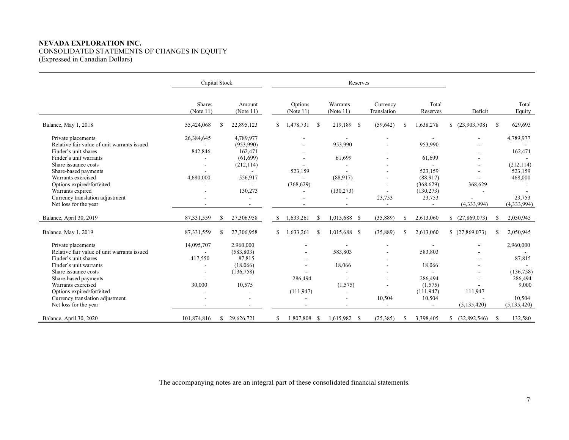# **NEVADA EXPLORATION INC.** CONSOLIDATED STATEMENTS OF CHANGES IN EQUITY (Expressed in Canadian Dollars)

|                                             | Capital Stock              |    |                     | Reserves      |                      |               |                          |    |                          |   |                   |                    |               |                 |
|---------------------------------------------|----------------------------|----|---------------------|---------------|----------------------|---------------|--------------------------|----|--------------------------|---|-------------------|--------------------|---------------|-----------------|
|                                             | <b>Shares</b><br>(Note 11) |    | Amount<br>(Note 11) |               | Options<br>(Note 11) |               | Warrants<br>(Note 11)    |    | Currency<br>Translation  |   | Total<br>Reserves | Deficit            |               | Total<br>Equity |
| Balance, May 1, 2018                        | 55,424,068                 | S  | 22,895,123          | \$            | 1,478,731            | -S            | 219,189 \$               |    | (59, 642)                | S | 1,638,278         | \$ (23,903,708)    | <sup>\$</sup> | 629,693         |
| Private placements                          | 26,384,645                 |    | 4,789,977           |               |                      |               | $\overline{\phantom{a}}$ |    |                          |   | $\blacksquare$    |                    |               | 4,789,977       |
| Relative fair value of unit warrants issued |                            |    | (953,990)           |               |                      |               | 953,990                  |    |                          |   | 953,990           |                    |               |                 |
| Finder's unit shares                        | 842,846                    |    | 162,471             |               |                      |               |                          |    |                          |   | ÷                 |                    |               | 162,471         |
| Finder's unit warrants                      |                            |    | (61, 699)           |               |                      |               | 61,699                   |    |                          |   | 61,699            |                    |               |                 |
| Share issuance costs                        |                            |    | (212, 114)          |               |                      |               |                          |    |                          |   |                   |                    |               | (212, 114)      |
| Share-based payments                        |                            |    | $\sim$              |               | 523,159              |               |                          |    |                          |   | 523,159           |                    |               | 523,159         |
| Warrants exercised                          | 4.680.000                  |    | 556,917             |               | ÷.                   |               | (88,917)                 |    |                          |   | (88,917)          |                    |               | 468,000         |
| Options expired/forfeited                   |                            |    | $\sim$              |               | (368, 629)           |               |                          |    |                          |   | (368, 629)        | 368,629            |               |                 |
| Warrants expired                            |                            |    | 130,273             |               |                      |               | (130, 273)               |    |                          |   | (130, 273)        |                    |               |                 |
| Currency translation adjustment             |                            |    |                     |               |                      |               |                          |    | 23,753                   |   | 23,753            |                    |               | 23,753          |
| Net loss for the year                       |                            |    | $\sim$              |               |                      |               |                          |    | $\overline{\phantom{a}}$ |   | $\sim$            | (4,333,994)        |               | (4,333,994)     |
| Balance, April 30, 2019                     | 87,331,559                 | S  | 27,306,958          | <sup>\$</sup> | 1.633.261            | <sup>\$</sup> | 1,015,688                | -S | (35,889)                 | S | 2,613,060         | (27,869,073)<br>S. | \$.           | 2,050,945       |
| Balance, May 1, 2019                        | 87,331,559                 | S  | 27,306,958          | \$            | 1,633,261            | <sup>\$</sup> | 1,015,688 \$             |    | (35,889)                 | S | 2,613,060         | \$ (27,869,073)    | S             | 2,050,945       |
| Private placements                          | 14,095,707                 |    | 2,960,000           |               |                      |               |                          |    |                          |   |                   |                    |               | 2,960,000       |
| Relative fair value of unit warrants issued |                            |    | (583, 803)          |               |                      |               | 583,803                  |    |                          |   | 583,803           |                    |               |                 |
| Finder's unit shares                        | 417,550                    |    | 87,815              |               |                      |               |                          |    |                          |   |                   |                    |               | 87,815          |
| Finder's unit warrants                      |                            |    | (18,066)            |               |                      |               | 18,066                   |    |                          |   | 18,066            |                    |               |                 |
| Share issuance costs                        |                            |    | (136,758)           |               |                      |               |                          |    |                          |   |                   |                    |               | (136,758)       |
| Share-based payments                        |                            |    |                     |               | 286,494              |               |                          |    |                          |   | 286,494           |                    |               | 286,494         |
| Warrants exercised                          | 30,000                     |    | 10,575              |               |                      |               | (1, 575)                 |    |                          |   | (1,575)           |                    |               | 9,000           |
| Options expired/forfeited                   |                            |    |                     |               | (111, 947)           |               | $\overline{\phantom{a}}$ |    |                          |   | (111, 947)        | 111,947            |               |                 |
| Currency translation adjustment             |                            |    |                     |               |                      |               |                          |    | 10,504                   |   | 10,504            |                    |               | 10,504          |
| Net loss for the year                       |                            |    |                     |               |                      |               |                          |    |                          |   |                   | (5, 135, 420)      |               | (5,135,420)     |
| Balance, April 30, 2020                     | 101,874,816                | S. | 29,626,721          | \$            | 1,807,808            | - \$          | 1,615,982 \$             |    | (25, 385)                | S | 3,398,405         | (32,892,546)       | -S            | 132,580         |

The accompanying notes are an integral part of these consolidated financial statements.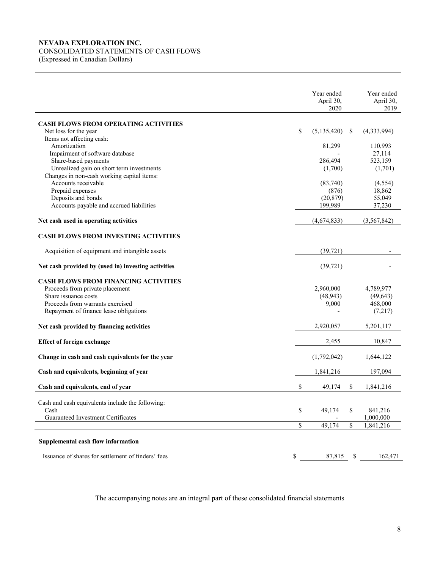# **NEVADA EXPLORATION INC.** CONSOLIDATED STATEMENTS OF CASH FLOWS (Expressed in Canadian Dollars)

|                                                                                                                                                                                      |              | Year ended<br>April 30,<br>2020 |              | Year ended<br>April 30,<br>2019              |
|--------------------------------------------------------------------------------------------------------------------------------------------------------------------------------------|--------------|---------------------------------|--------------|----------------------------------------------|
| <b>CASH FLOWS FROM OPERATING ACTIVITIES</b>                                                                                                                                          |              |                                 |              |                                              |
| Net loss for the year                                                                                                                                                                | $\mathbb{S}$ | (5, 135, 420)                   | <sup>S</sup> | (4,333,994)                                  |
| Items not affecting cash:                                                                                                                                                            |              |                                 |              |                                              |
| Amortization                                                                                                                                                                         |              | 81,299                          |              | 110,993                                      |
| Impairment of software database                                                                                                                                                      |              |                                 |              | 27,114                                       |
| Share-based payments                                                                                                                                                                 |              | 286,494                         |              | 523,159                                      |
| Unrealized gain on short term investments                                                                                                                                            |              | (1,700)                         |              | (1,701)                                      |
| Changes in non-cash working capital items:                                                                                                                                           |              |                                 |              |                                              |
| Accounts receivable                                                                                                                                                                  |              | (83,740)                        |              | (4, 554)                                     |
| Prepaid expenses                                                                                                                                                                     |              | (876)                           |              | 18,862                                       |
| Deposits and bonds                                                                                                                                                                   |              | (20, 879)                       |              | 55,049                                       |
| Accounts payable and accrued liabilities                                                                                                                                             |              | 199,989                         |              | 37,230                                       |
|                                                                                                                                                                                      |              |                                 |              |                                              |
| Net cash used in operating activities                                                                                                                                                |              | (4,674,833)                     |              | (3,567,842)                                  |
| <b>CASH FLOWS FROM INVESTING ACTIVITIES</b>                                                                                                                                          |              |                                 |              |                                              |
| Acquisition of equipment and intangible assets                                                                                                                                       |              | (39, 721)                       |              |                                              |
| Net cash provided by (used in) investing activities                                                                                                                                  |              | (39, 721)                       |              |                                              |
| <b>CASH FLOWS FROM FINANCING ACTIVITIES</b><br>Proceeds from private placement<br>Share issuance costs<br>Proceeds from warrants exercised<br>Repayment of finance lease obligations |              | 2,960,000<br>(48, 943)<br>9,000 |              | 4,789,977<br>(49, 643)<br>468,000<br>(7,217) |
| Net cash provided by financing activities                                                                                                                                            |              | 2,920,057                       |              | 5,201,117                                    |
| <b>Effect of foreign exchange</b>                                                                                                                                                    |              | 2,455                           |              | 10,847                                       |
| Change in cash and cash equivalents for the year                                                                                                                                     |              | (1,792,042)                     |              | 1,644,122                                    |
| Cash and equivalents, beginning of year                                                                                                                                              |              | 1,841,216                       |              | 197,094                                      |
| Cash and equivalents, end of year                                                                                                                                                    | \$           | 49,174                          | \$           | 1,841,216                                    |
|                                                                                                                                                                                      |              |                                 |              |                                              |
| Cash and cash equivalents include the following:                                                                                                                                     |              |                                 |              |                                              |
| Cash                                                                                                                                                                                 | \$           | 49,174                          | \$           | 841,216                                      |
| Guaranteed Investment Certificates                                                                                                                                                   |              |                                 |              | 1,000,000                                    |
|                                                                                                                                                                                      | \$           | 49.174                          | \$           | 1,841,216                                    |
| Supplemental cash flow information                                                                                                                                                   |              |                                 |              |                                              |
| Issuance of shares for settlement of finders' fees                                                                                                                                   | \$           | 87,815                          | \$           | 162,471                                      |

The accompanying notes are an integral part of these consolidated financial statements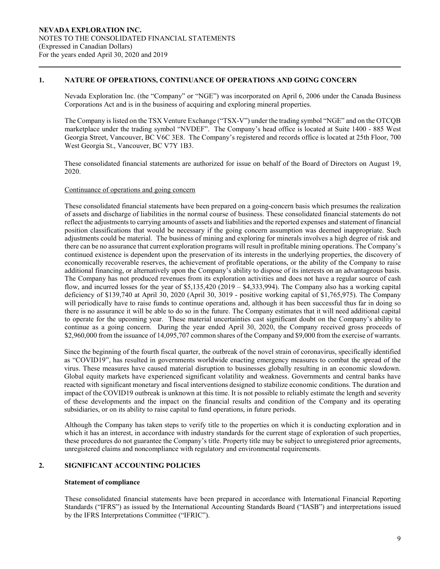### **1. NATURE OF OPERATIONS, CONTINUANCE OF OPERATIONS AND GOING CONCERN**

Nevada Exploration Inc. (the "Company" or "NGE") was incorporated on April 6, 2006 under the Canada Business Corporations Act and is in the business of acquiring and exploring mineral properties.

The Company is listed on the TSX Venture Exchange ("TSX-V") under the trading symbol "NGE" and on the OTCQB marketplace under the trading symbol "NVDEF". The Company's head office is located at Suite 1400 - 885 West Georgia Street, Vancouver, BC V6C 3E8. The Company's registered and records office is located at 25th Floor, 700 West Georgia St., Vancouver, BC V7Y 1B3.

These consolidated financial statements are authorized for issue on behalf of the Board of Directors on August 19, 2020.

### Continuance of operations and going concern

These consolidated financial statements have been prepared on a going-concern basis which presumes the realization of assets and discharge of liabilities in the normal course of business. These consolidated financial statements do not reflect the adjustments to carrying amounts of assets and liabilities and the reported expenses and statement of financial position classifications that would be necessary if the going concern assumption was deemed inappropriate. Such adjustments could be material. The business of mining and exploring for minerals involves a high degree of risk and there can be no assurance that current exploration programs will result in profitable mining operations. The Company's continued existence is dependent upon the preservation of its interests in the underlying properties, the discovery of economically recoverable reserves, the achievement of profitable operations, or the ability of the Company to raise additional financing, or alternatively upon the Company's ability to dispose of its interests on an advantageous basis. The Company has not produced revenues from its exploration activities and does not have a regular source of cash flow, and incurred losses for the year of \$5,135,420 (2019 – \$4,333,994). The Company also has a working capital deficiency of \$139,740 at April 30, 2020 (April 30, 3019 - positive working capital of \$1,765,975). The Company will periodically have to raise funds to continue operations and, although it has been successful thus far in doing so there is no assurance it will be able to do so in the future. The Company estimates that it will need additional capital to operate for the upcoming year. These material uncertainties cast significant doubt on the Company's ability to continue as a going concern. During the year ended April 30, 2020, the Company received gross proceeds of \$2,960,000 from the issuance of 14,095,707 common shares of the Company and \$9,000 from the exercise of warrants.

Since the beginning of the fourth fiscal quarter, the outbreak of the novel strain of coronavirus, specifically identified as "COVID19", has resulted in governments worldwide enacting emergency measures to combat the spread of the virus. These measures have caused material disruption to businesses globally resulting in an economic slowdown. Global equity markets have experienced significant volatility and weakness. Governments and central banks have reacted with significant monetary and fiscal interventions designed to stabilize economic conditions. The duration and impact of the COVID19 outbreak is unknown at this time. It is not possible to reliably estimate the length and severity of these developments and the impact on the financial results and condition of the Company and its operating subsidiaries, or on its ability to raise capital to fund operations, in future periods.

Although the Company has taken steps to verify title to the properties on which it is conducting exploration and in which it has an interest, in accordance with industry standards for the current stage of exploration of such properties, these procedures do not guarantee the Company's title. Property title may be subject to unregistered prior agreements, unregistered claims and noncompliance with regulatory and environmental requirements.

# **2. SIGNIFICANT ACCOUNTING POLICIES**

### **Statement of compliance**

These consolidated financial statements have been prepared in accordance with International Financial Reporting Standards ("IFRS") as issued by the International Accounting Standards Board ("IASB") and interpretations issued by the IFRS Interpretations Committee ("IFRIC").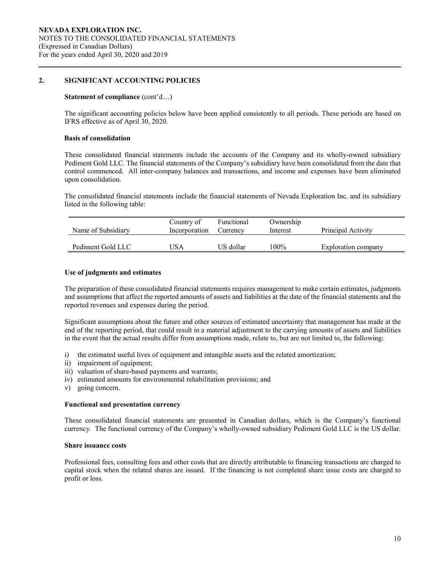### **2. SIGNIFICANT ACCOUNTING POLICIES**

#### **Statement of compliance** (cont'd…)

The significant accounting policies below have been applied consistently to all periods. These periods are based on IFRS effective as of April 30, 2020.

#### **Basis of consolidation**

These consolidated financial statements include the accounts of the Company and its wholly-owned subsidiary Pediment Gold LLC. The financial statements of the Company's subsidiary have been consolidated from the date that control commenced. All inter-company balances and transactions, and income and expenses have been eliminated upon consolidation.

The consolidated financial statements include the financial statements of Nevada Exploration Inc. and its subsidiary listed in the following table:

| Name of Subsidiary | Country of<br>Incorporation | Functional<br>Currency | Ownership<br>Principal Activity<br>Interest |                     |  |  |  |  |  |
|--------------------|-----------------------------|------------------------|---------------------------------------------|---------------------|--|--|--|--|--|
| Pediment Gold LLC  | 'JSA                        | US dollar              | 100%                                        | Exploration company |  |  |  |  |  |

#### **Use of judgments and estimates**

The preparation of these consolidated financial statements requires management to make certain estimates, judgments and assumptions that affect the reported amounts of assets and liabilities at the date of the financial statements and the reported revenues and expenses during the period.

Significant assumptions about the future and other sources of estimated uncertainty that management has made at the end of the reporting period, that could result in a material adjustment to the carrying amounts of assets and liabilities in the event that the actual results differ from assumptions made, relate to, but are not limited to, the following:

- i) the estimated useful lives of equipment and intangible assets and the related amortization;
- ii) impairment of equipment;
- iii) valuation of share-based payments and warrants;
- iv) estimated amounts for environmental rehabilitation provisions; and
- v) going concern.

#### **Functional and presentation currency**

These consolidated financial statements are presented in Canadian dollars, which is the Company's functional currency. The functional currency of the Company's wholly-owned subsidiary Pediment Gold LLC is the US dollar.

#### **Share issuance costs**

Professional fees, consulting fees and other costs that are directly attributable to financing transactions are charged to capital stock when the related shares are issued. If the financing is not completed share issue costs are charged to profit or loss.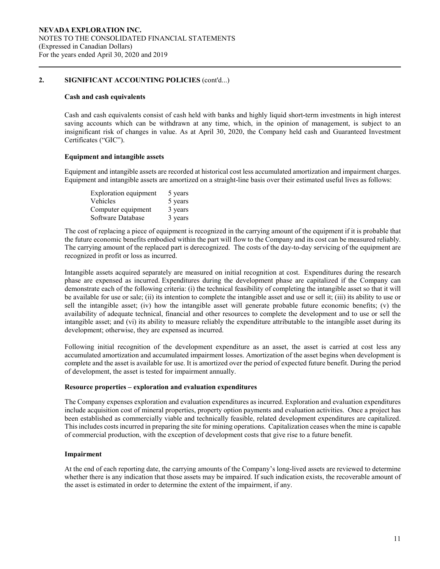### **2. SIGNIFICANT ACCOUNTING POLICIES** (cont'd...)

#### **Cash and cash equivalents**

Cash and cash equivalents consist of cash held with banks and highly liquid short-term investments in high interest saving accounts which can be withdrawn at any time, which, in the opinion of management, is subject to an insignificant risk of changes in value. As at April 30, 2020, the Company held cash and Guaranteed Investment Certificates ("GIC").

#### **Equipment and intangible assets**

Equipment and intangible assets are recorded at historical cost less accumulated amortization and impairment charges. Equipment and intangible assets are amortized on a straight-line basis over their estimated useful lives as follows:

| <b>Exploration</b> equipment | 5 years |
|------------------------------|---------|
| Vehicles                     | 5 years |
| Computer equipment           | 3 years |
| Software Database            | 3 years |

The cost of replacing a piece of equipment is recognized in the carrying amount of the equipment if it is probable that the future economic benefits embodied within the part will flow to the Company and its cost can be measured reliably. The carrying amount of the replaced part is derecognized. The costs of the day-to-day servicing of the equipment are recognized in profit or loss as incurred.

Intangible assets acquired separately are measured on initial recognition at cost. Expenditures during the research phase are expensed as incurred. Expenditures during the development phase are capitalized if the Company can demonstrate each of the following criteria: (i) the technical feasibility of completing the intangible asset so that it will be available for use or sale; (ii) its intention to complete the intangible asset and use or sell it; (iii) its ability to use or sell the intangible asset; (iv) how the intangible asset will generate probable future economic benefits; (v) the availability of adequate technical, financial and other resources to complete the development and to use or sell the intangible asset; and (vi) its ability to measure reliably the expenditure attributable to the intangible asset during its development; otherwise, they are expensed as incurred.

Following initial recognition of the development expenditure as an asset, the asset is carried at cost less any accumulated amortization and accumulated impairment losses. Amortization of the asset begins when development is complete and the asset is available for use. It is amortized over the period of expected future benefit. During the period of development, the asset is tested for impairment annually.

### **Resource properties – exploration and evaluation expenditures**

The Company expenses exploration and evaluation expenditures as incurred. Exploration and evaluation expenditures include acquisition cost of mineral properties, property option payments and evaluation activities. Once a project has been established as commercially viable and technically feasible, related development expenditures are capitalized. This includes costs incurred in preparing the site for mining operations. Capitalization ceases when the mine is capable of commercial production, with the exception of development costs that give rise to a future benefit.

#### **Impairment**

At the end of each reporting date, the carrying amounts of the Company's long-lived assets are reviewed to determine whether there is any indication that those assets may be impaired. If such indication exists, the recoverable amount of the asset is estimated in order to determine the extent of the impairment, if any.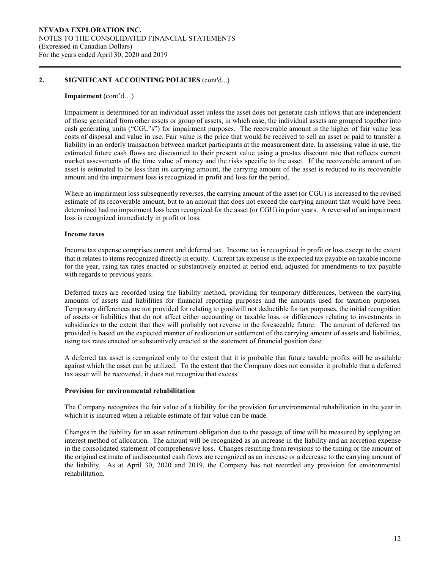# **2. SIGNIFICANT ACCOUNTING POLICIES** (cont'd...)

#### **Impairment** (cont'd…)

Impairment is determined for an individual asset unless the asset does not generate cash inflows that are independent of those generated from other assets or group of assets, in which case, the individual assets are grouped together into cash generating units ("CGU's") for impairment purposes. The recoverable amount is the higher of fair value less costs of disposal and value in use. Fair value is the price that would be received to sell an asset or paid to transfer a liability in an orderly transaction between market participants at the measurement date. In assessing value in use, the estimated future cash flows are discounted to their present value using a pre-tax discount rate that reflects current market assessments of the time value of money and the risks specific to the asset. If the recoverable amount of an asset is estimated to be less than its carrying amount, the carrying amount of the asset is reduced to its recoverable amount and the impairment loss is recognized in profit and loss for the period.

Where an impairment loss subsequently reverses, the carrying amount of the asset (or CGU) is increased to the revised estimate of its recoverable amount, but to an amount that does not exceed the carrying amount that would have been determined had no impairment loss been recognized for the asset (or CGU) in prior years. A reversal of an impairment loss is recognized immediately in profit or loss.

#### **Income taxes**

Income tax expense comprises current and deferred tax. Income tax is recognized in profit or loss except to the extent that it relates to items recognized directly in equity. Current tax expense is the expected tax payable on taxable income for the year, using tax rates enacted or substantively enacted at period end, adjusted for amendments to tax payable with regards to previous years.

Deferred taxes are recorded using the liability method, providing for temporary differences, between the carrying amounts of assets and liabilities for financial reporting purposes and the amounts used for taxation purposes. Temporary differences are not provided for relating to goodwill not deductible for tax purposes, the initial recognition of assets or liabilities that do not affect either accounting or taxable loss, or differences relating to investments in subsidiaries to the extent that they will probably not reverse in the foreseeable future. The amount of deferred tax provided is based on the expected manner of realization or settlement of the carrying amount of assets and liabilities, using tax rates enacted or substantively enacted at the statement of financial position date.

A deferred tax asset is recognized only to the extent that it is probable that future taxable profits will be available against which the asset can be utilized. To the extent that the Company does not consider it probable that a deferred tax asset will be recovered, it does not recognize that excess.

### **Provision for environmental rehabilitation**

The Company recognizes the fair value of a liability for the provision for environmental rehabilitation in the year in which it is incurred when a reliable estimate of fair value can be made.

Changes in the liability for an asset retirement obligation due to the passage of time will be measured by applying an interest method of allocation. The amount will be recognized as an increase in the liability and an accretion expense in the consolidated statement of comprehensive loss. Changes resulting from revisions to the timing or the amount of the original estimate of undiscounted cash flows are recognized as an increase or a decrease to the carrying amount of the liability. As at April 30, 2020 and 2019, the Company has not recorded any provision for environmental rehabilitation.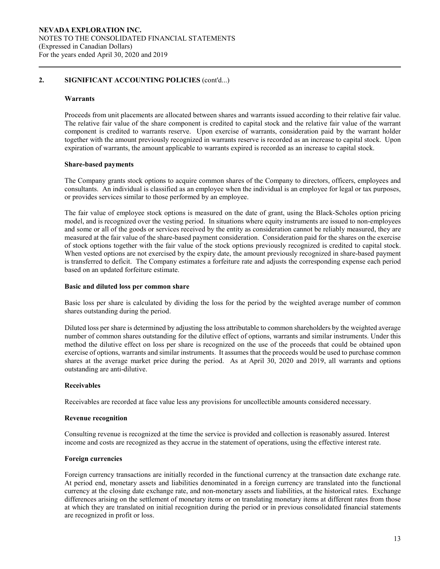# **2. SIGNIFICANT ACCOUNTING POLICIES** (cont'd...)

#### **Warrants**

Proceeds from unit placements are allocated between shares and warrants issued according to their relative fair value. The relative fair value of the share component is credited to capital stock and the relative fair value of the warrant component is credited to warrants reserve. Upon exercise of warrants, consideration paid by the warrant holder together with the amount previously recognized in warrants reserve is recorded as an increase to capital stock. Upon expiration of warrants, the amount applicable to warrants expired is recorded as an increase to capital stock.

#### **Share-based payments**

The Company grants stock options to acquire common shares of the Company to directors, officers, employees and consultants. An individual is classified as an employee when the individual is an employee for legal or tax purposes, or provides services similar to those performed by an employee.

The fair value of employee stock options is measured on the date of grant, using the Black-Scholes option pricing model, and is recognized over the vesting period. In situations where equity instruments are issued to non-employees and some or all of the goods or services received by the entity as consideration cannot be reliably measured, they are measured at the fair value of the share-based payment consideration. Consideration paid for the shares on the exercise of stock options together with the fair value of the stock options previously recognized is credited to capital stock. When vested options are not exercised by the expiry date, the amount previously recognized in share-based payment is transferred to deficit. The Company estimates a forfeiture rate and adjusts the corresponding expense each period based on an updated forfeiture estimate.

#### **Basic and diluted loss per common share**

Basic loss per share is calculated by dividing the loss for the period by the weighted average number of common shares outstanding during the period.

Diluted loss per share is determined by adjusting the loss attributable to common shareholders by the weighted average number of common shares outstanding for the dilutive effect of options, warrants and similar instruments. Under this method the dilutive effect on loss per share is recognized on the use of the proceeds that could be obtained upon exercise of options, warrants and similar instruments. It assumes that the proceeds would be used to purchase common shares at the average market price during the period. As at April 30, 2020 and 2019, all warrants and options outstanding are anti-dilutive.

#### **Receivables**

Receivables are recorded at face value less any provisions for uncollectible amounts considered necessary.

#### **Revenue recognition**

Consulting revenue is recognized at the time the service is provided and collection is reasonably assured. Interest income and costs are recognized as they accrue in the statement of operations, using the effective interest rate.

#### **Foreign currencies**

Foreign currency transactions are initially recorded in the functional currency at the transaction date exchange rate. At period end, monetary assets and liabilities denominated in a foreign currency are translated into the functional currency at the closing date exchange rate, and non-monetary assets and liabilities, at the historical rates. Exchange differences arising on the settlement of monetary items or on translating monetary items at different rates from those at which they are translated on initial recognition during the period or in previous consolidated financial statements are recognized in profit or loss.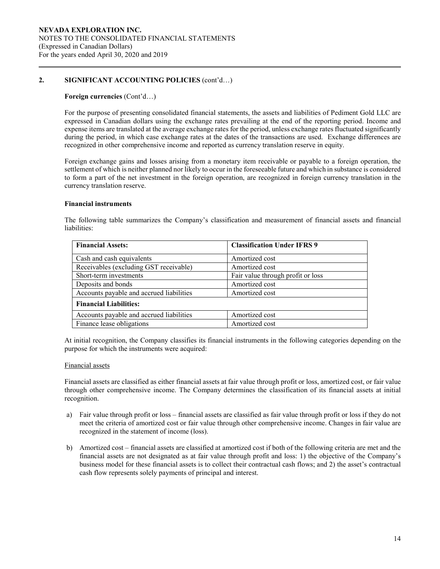# **2. SIGNIFICANT ACCOUNTING POLICIES** (cont'd…)

#### **Foreign currencies** (Cont'd…)

For the purpose of presenting consolidated financial statements, the assets and liabilities of Pediment Gold LLC are expressed in Canadian dollars using the exchange rates prevailing at the end of the reporting period. Income and expense items are translated at the average exchange rates for the period, unless exchange rates fluctuated significantly during the period, in which case exchange rates at the dates of the transactions are used. Exchange differences are recognized in other comprehensive income and reported as currency translation reserve in equity.

Foreign exchange gains and losses arising from a monetary item receivable or payable to a foreign operation, the settlement of which is neither planned nor likely to occur in the foreseeable future and which in substance is considered to form a part of the net investment in the foreign operation, are recognized in foreign currency translation in the currency translation reserve.

#### **Financial instruments**

The following table summarizes the Company's classification and measurement of financial assets and financial liabilities:

| <b>Financial Assets:</b>                 | <b>Classification Under IFRS 9</b> |  |  |  |
|------------------------------------------|------------------------------------|--|--|--|
| Cash and cash equivalents                | Amortized cost                     |  |  |  |
| Receivables (excluding GST receivable)   | Amortized cost                     |  |  |  |
| Short-term investments                   | Fair value through profit or loss  |  |  |  |
| Deposits and bonds                       | Amortized cost                     |  |  |  |
| Accounts payable and accrued liabilities | Amortized cost                     |  |  |  |
| <b>Financial Liabilities:</b>            |                                    |  |  |  |
| Accounts payable and accrued liabilities | Amortized cost                     |  |  |  |
| Finance lease obligations                | Amortized cost                     |  |  |  |

At initial recognition, the Company classifies its financial instruments in the following categories depending on the purpose for which the instruments were acquired:

#### Financial assets

Financial assets are classified as either financial assets at fair value through profit or loss, amortized cost, or fair value through other comprehensive income. The Company determines the classification of its financial assets at initial recognition.

- a) Fair value through profit or loss financial assets are classified as fair value through profit or loss if they do not meet the criteria of amortized cost or fair value through other comprehensive income. Changes in fair value are recognized in the statement of income (loss).
- b) Amortized cost financial assets are classified at amortized cost if both of the following criteria are met and the financial assets are not designated as at fair value through profit and loss: 1) the objective of the Company's business model for these financial assets is to collect their contractual cash flows; and 2) the asset's contractual cash flow represents solely payments of principal and interest.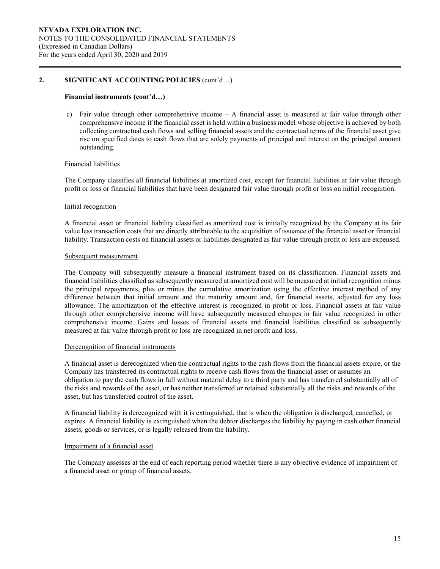# **2. SIGNIFICANT ACCOUNTING POLICIES** (cont'd…)

#### **Financial instruments (cont'd…)**

c) Fair value through other comprehensive income – A financial asset is measured at fair value through other comprehensive income if the financial asset is held within a business model whose objective is achieved by both collecting contractual cash flows and selling financial assets and the contractual terms of the financial asset give rise on specified dates to cash flows that are solely payments of principal and interest on the principal amount outstanding.

#### Financial liabilities

The Company classifies all financial liabilities at amortized cost, except for financial liabilities at fair value through profit or loss or financial liabilities that have been designated fair value through profit or loss on initial recognition.

#### Initial recognition

A financial asset or financial liability classified as amortized cost is initially recognized by the Company at its fair value less transaction costs that are directly attributable to the acquisition of issuance of the financial asset or financial liability. Transaction costs on financial assets or liabilities designated as fair value through profit or loss are expensed.

#### Subsequent measurement

The Company will subsequently measure a financial instrument based on its classification. Financial assets and financial liabilities classified as subsequently measured at amortized cost will be measured at initial recognition minus the principal repayments, plus or minus the cumulative amortization using the effective interest method of any difference between that initial amount and the maturity amount and, for financial assets, adjusted for any loss allowance. The amortization of the effective interest is recognized in profit or loss. Financial assets at fair value through other comprehensive income will have subsequently measured changes in fair value recognized in other comprehensive income. Gains and losses of financial assets and financial liabilities classified as subsequently measured at fair value through profit or loss are recognized in net profit and loss.

#### Derecognition of financial instruments

A financial asset is derecognized when the contractual rights to the cash flows from the financial assets expire, or the Company has transferred its contractual rights to receive cash flows from the financial asset or assumes an obligation to pay the cash flows in full without material delay to a third party and has transferred substantially all of the risks and rewards of the asset, or has neither transferred or retained substantially all the risks and rewards of the asset, but has transferred control of the asset.

A financial liability is derecognized with it is extinguished, that is when the obligation is discharged, cancelled, or expires. A financial liability is extinguished when the debtor discharges the liability by paying in cash other financial assets, goods or services, or is legally released from the liability.

### Impairment of a financial asset

The Company assesses at the end of each reporting period whether there is any objective evidence of impairment of a financial asset or group of financial assets.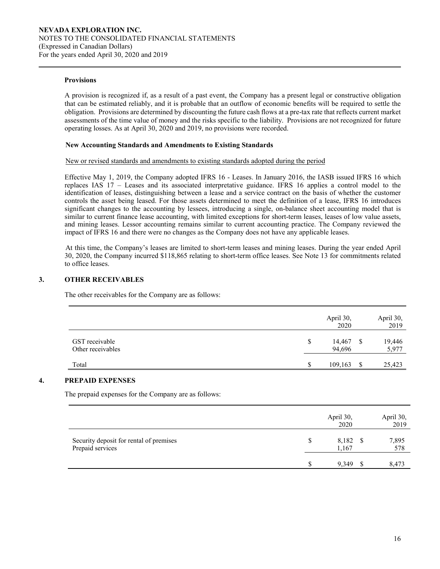#### **Provisions**

A provision is recognized if, as a result of a past event, the Company has a present legal or constructive obligation that can be estimated reliably, and it is probable that an outflow of economic benefits will be required to settle the obligation. Provisions are determined by discounting the future cash flows at a pre-tax rate that reflects current market assessments of the time value of money and the risks specific to the liability. Provisions are not recognized for future operating losses. As at April 30, 2020 and 2019, no provisions were recorded.

#### **New Accounting Standards and Amendments to Existing Standards**

#### New or revised standards and amendments to existing standards adopted during the period

Effective May 1, 2019, the Company adopted IFRS 16 - Leases. In January 2016, the IASB issued IFRS 16 which replaces IAS 17 – Leases and its associated interpretative guidance. IFRS 16 applies a control model to the identification of leases, distinguishing between a lease and a service contract on the basis of whether the customer controls the asset being leased. For those assets determined to meet the definition of a lease, IFRS 16 introduces significant changes to the accounting by lessees, introducing a single, on-balance sheet accounting model that is similar to current finance lease accounting, with limited exceptions for short-term leases, leases of low value assets, and mining leases. Lessor accounting remains similar to current accounting practice. The Company reviewed the impact of IFRS 16 and there were no changes as the Company does not have any applicable leases.

At this time, the Company's leases are limited to short-term leases and mining leases. During the year ended April 30, 2020, the Company incurred \$118,865 relating to short-term office leases. See Note 13 for commitments related to office leases.

### **3. OTHER RECEIVABLES**

The other receivables for the Company are as follows:

|                                     |   | April 30,<br>2020 |   | April 30,<br>2019 |
|-------------------------------------|---|-------------------|---|-------------------|
| GST receivable<br>Other receivables | S | 14,467<br>94.696  |   | 19,446<br>5,977   |
| Total                               |   | 109,163           | S | 25,423            |

### **4. PREPAID EXPENSES**

The prepaid expenses for the Company are as follows:

|                                                             |               | April 30,<br>2020 | April 30,<br>2019 |
|-------------------------------------------------------------|---------------|-------------------|-------------------|
| Security deposit for rental of premises<br>Prepaid services | S             | 8,182 \$<br>1,167 | 7,895<br>578      |
|                                                             | <sup>\$</sup> | 9.349             | 8,473             |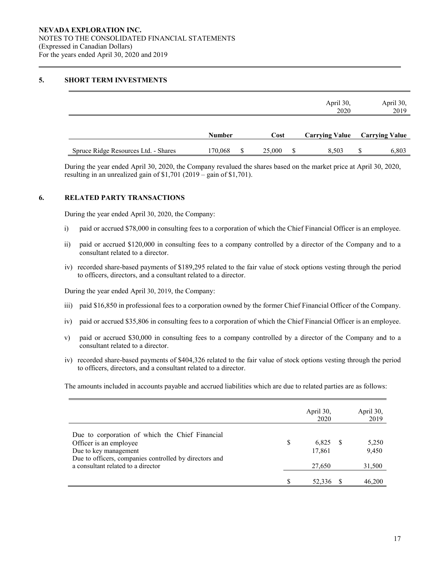### **5. SHORT TERM INVESTMENTS**

|                                      |               |              |   | April 30,<br>2020     |   | April 30,<br>2019     |
|--------------------------------------|---------------|--------------|---|-----------------------|---|-----------------------|
|                                      | <b>Number</b> | Cost         |   | <b>Carrying Value</b> |   | <b>Carrying Value</b> |
| Spruce Ridge Resources Ltd. - Shares | 170,068       | \$<br>25,000 | S | 8,503                 | S | 6,803                 |

During the year ended April 30, 2020, the Company revalued the shares based on the market price at April 30, 2020, resulting in an unrealized gain of \$1,701 (2019 – gain of \$1,701).

# **6. RELATED PARTY TRANSACTIONS**

During the year ended April 30, 2020, the Company:

- i) paid or accrued \$78,000 in consulting fees to a corporation of which the Chief Financial Officer is an employee.
- ii) paid or accrued \$120,000 in consulting fees to a company controlled by a director of the Company and to a consultant related to a director.
- iv) recorded share-based payments of \$189,295 related to the fair value of stock options vesting through the period to officers, directors, and a consultant related to a director.

During the year ended April 30, 2019, the Company:

- iii) paid \$16,850 in professional fees to a corporation owned by the former Chief Financial Officer of the Company.
- iv) paid or accrued \$35,806 in consulting fees to a corporation of which the Chief Financial Officer is an employee.
- v) paid or accrued \$30,000 in consulting fees to a company controlled by a director of the Company and to a consultant related to a director.
- iv) recorded share-based payments of \$404,326 related to the fair value of stock options vesting through the period to officers, directors, and a consultant related to a director.

The amounts included in accounts payable and accrued liabilities which are due to related parties are as follows:

|                                                                                                                                                                                                    |   | April 30,<br>2020         |     | April 30,<br>2019        |
|----------------------------------------------------------------------------------------------------------------------------------------------------------------------------------------------------|---|---------------------------|-----|--------------------------|
| Due to corporation of which the Chief Financial<br>Officer is an employee<br>Due to key management<br>Due to officers, companies controlled by directors and<br>a consultant related to a director | S | 6,825<br>17,861<br>27,650 | - S | 5,250<br>9,450<br>31,500 |
|                                                                                                                                                                                                    |   | 52,336                    |     | 46,200                   |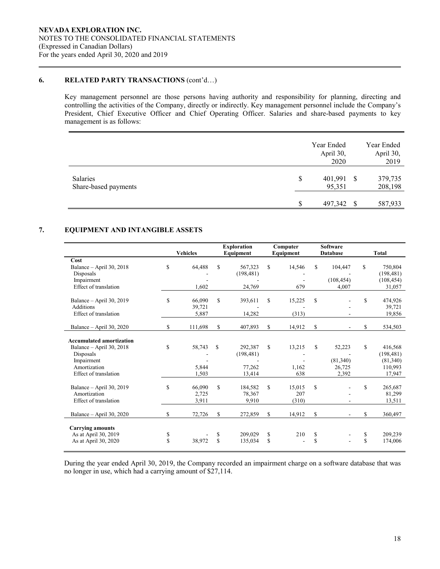# **6. RELATED PARTY TRANSACTIONS** (cont'd…)

Key management personnel are those persons having authority and responsibility for planning, directing and controlling the activities of the Company, directly or indirectly. Key management personnel include the Company's President, Chief Executive Officer and Chief Operating Officer. Salaries and share-based payments to key management is as follows:

|                                         |    | Year Ended<br>April 30,<br>2020 |    | Year Ended<br>April 30,<br>2019 |
|-----------------------------------------|----|---------------------------------|----|---------------------------------|
| <b>Salaries</b><br>Share-based payments | \$ | 401,991<br>95,351               | -S | 379,735<br>208,198              |
|                                         | S  | 497,342                         | -8 | 587,933                         |

# **7. EQUIPMENT AND INTANGIBLE ASSETS**

|                                                                                                                                 | <b>Vehicles</b> |                           |                    | <b>Exploration</b>                        |               | Computer               |          | <b>Software</b>                       |          |                                                        |  |
|---------------------------------------------------------------------------------------------------------------------------------|-----------------|---------------------------|--------------------|-------------------------------------------|---------------|------------------------|----------|---------------------------------------|----------|--------------------------------------------------------|--|
|                                                                                                                                 |                 |                           |                    | Equipment                                 |               | Equipment              |          | <b>Database</b>                       |          | <b>Total</b>                                           |  |
| Cost<br>Balance $-$ April 30, 2018<br>Disposals<br>Impairment<br>Effect of translation                                          | S               | 64,488<br>1,602           | S                  | 567,323<br>(198, 481)<br>24,769           | \$            | 14,546<br>679          | S        | 104,447<br>(108, 454)<br>4,007        | \$       | 750,804<br>(198, 481)<br>(108, 454)<br>31,057          |  |
| Balance - April 30, 2019<br><b>Additions</b><br>Effect of translation                                                           | S               | 66,090<br>39,721<br>5,887 | \$                 | 393,611<br>14,282                         | \$            | 15,225<br>(313)        | \$       |                                       | \$       | 474,926<br>39,721<br>19,856                            |  |
| Balance - April 30, 2020                                                                                                        | \$              | 111,698                   | \$                 | 407,893                                   | \$            | 14,912                 | \$       | $\overline{\phantom{a}}$              | \$       | 534,503                                                |  |
| <b>Accumulated amortization</b><br>Balance - April 30, 2018<br>Disposals<br>Impairment<br>Amortization<br>Effect of translation | \$              | 58,743<br>5,844<br>1,503  | S                  | 292,387<br>(198, 481)<br>77,262<br>13,414 | S             | 13,215<br>1,162<br>638 | S        | 52,223<br>(81,340)<br>26,725<br>2,392 | \$       | 416,568<br>(198, 481)<br>(81,340)<br>110,993<br>17,947 |  |
| Balance - April 30, 2019<br>Amortization<br>Effect of translation                                                               | \$              | 66,090<br>2,725<br>3,911  | \$                 | 184,582<br>78,367<br>9,910                | <sup>\$</sup> | 15,015<br>207<br>(310) | S        |                                       | \$       | 265,687<br>81,299<br>13,511                            |  |
| Balance $-$ April 30, 2020                                                                                                      | \$              | 72,726                    | \$                 | 272,859                                   | \$            | 14,912                 | \$       | $\overline{\phantom{a}}$              | \$       | 360,497                                                |  |
| <b>Carrying amounts</b><br>As at April 30, 2019<br>As at April 30, 2020                                                         | s<br>s          | 38,972                    | \$<br>$\mathbf{s}$ | 209,029<br>135,034                        | \$<br>\$      | 210                    | \$<br>\$ |                                       | \$<br>\$ | 209,239<br>174,006                                     |  |

During the year ended April 30, 2019, the Company recorded an impairment charge on a software database that was no longer in use, which had a carrying amount of \$27,114.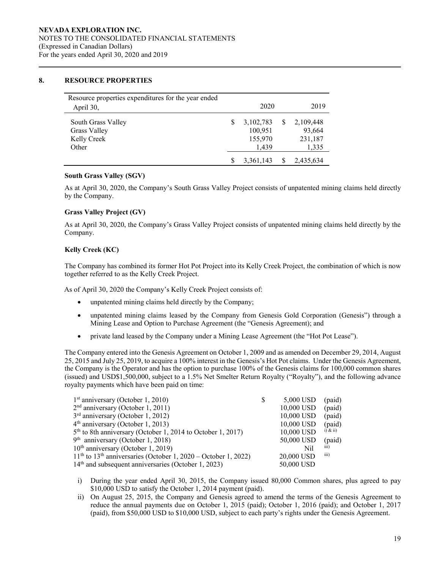### **8. RESOURCE PROPERTIES**

| Resource properties expenditures for the year ended<br>April 30, |   | 2020                                     | 2019                                    |
|------------------------------------------------------------------|---|------------------------------------------|-----------------------------------------|
| South Grass Valley<br>Grass Valley<br>Kelly Creek<br>Other       | S | 3,102,783<br>100,951<br>155,970<br>1,439 | 2,109,448<br>93,664<br>231,187<br>1,335 |
|                                                                  |   | 3,361,143                                | 2,435,634                               |

# **South Grass Valley (SGV)**

As at April 30, 2020, the Company's South Grass Valley Project consists of unpatented mining claims held directly by the Company.

### **Grass Valley Project (GV)**

As at April 30, 2020, the Company's Grass Valley Project consists of unpatented mining claims held directly by the Company.

### **Kelly Creek (KC)**

The Company has combined its former Hot Pot Project into its Kelly Creek Project, the combination of which is now together referred to as the Kelly Creek Project.

As of April 30, 2020 the Company's Kelly Creek Project consists of:

- unpatented mining claims held directly by the Company;
- unpatented mining claims leased by the Company from Genesis Gold Corporation (Genesis") through a Mining Lease and Option to Purchase Agreement (the "Genesis Agreement); and
- private land leased by the Company under a Mining Lease Agreement (the "Hot Pot Lease").

The Company entered into the Genesis Agreement on October 1, 2009 and as amended on December 29, 2014, August 25, 2015 and July 25, 2019, to acquire a 100% interest in the Genesis's Hot Pot claims. Under the Genesis Agreement, the Company is the Operator and has the option to purchase 100% of the Genesis claims for 100,000 common shares (issued) and USD\$1,500,000, subject to a 1.5% Net Smelter Return Royalty ("Royalty"), and the following advance royalty payments which have been paid on time:

| $1st$ anniversary (October 1, 2010)                                | 5,000 USD  | (paid)             |
|--------------------------------------------------------------------|------------|--------------------|
| $2nd$ anniversary (October 1, 2011)                                | 10,000 USD | (paid)             |
| $3rd$ anniversary (October 1, 2012)                                | 10,000 USD | (paid)             |
| $4th$ anniversary (October 1, 2013)                                | 10,000 USD | (paid)             |
| $5th$ to 8th anniversary (October 1, 2014 to October 1, 2017)      | 10,000 USD | $(i)$ & $ii)$      |
| $9th$ anniversary (October 1, 2018)                                | 50,000 USD | (paid)             |
| 10 <sup>th</sup> anniversary (October 1, 2019)                     | Nil        | $\overline{111}$   |
| $11th$ to $13th$ anniversaries (October 1, 2020 – October 1, 2022) | 20,000 USD | $\overline{111}$ ) |
| $14th$ and subsequent anniversaries (October 1, 2023)              | 50,000 USD |                    |
|                                                                    |            |                    |

- i) During the year ended April 30, 2015, the Company issued 80,000 Common shares, plus agreed to pay \$10,000 USD to satisfy the October 1, 2014 payment (paid).
- ii) On August 25, 2015, the Company and Genesis agreed to amend the terms of the Genesis Agreement to reduce the annual payments due on October 1, 2015 (paid); October 1, 2016 (paid); and October 1, 2017 (paid), from \$50,000 USD to \$10,000 USD, subject to each party's rights under the Genesis Agreement.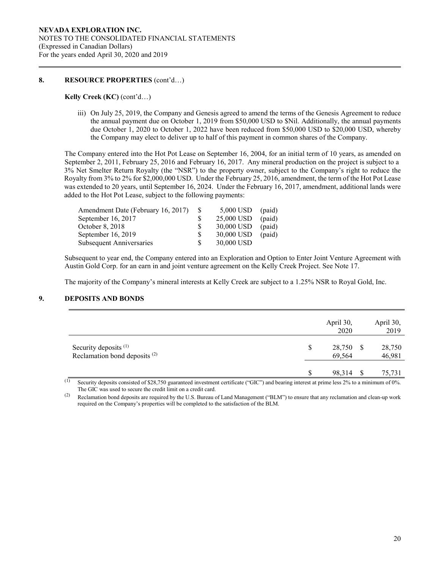### **8. RESOURCE PROPERTIES** (cont'd…)

### **Kelly Creek (KC)** (cont'd…)

iii) On July 25, 2019, the Company and Genesis agreed to amend the terms of the Genesis Agreement to reduce the annual payment due on October 1, 2019 from \$50,000 USD to \$Nil. Additionally, the annual payments due October 1, 2020 to October 1, 2022 have been reduced from \$50,000 USD to \$20,000 USD, whereby the Company may elect to deliver up to half of this payment in common shares of the Company.

The Company entered into the Hot Pot Lease on September 16, 2004, for an initial term of 10 years, as amended on September 2, 2011, February 25, 2016 and February 16, 2017. Any mineral production on the project is subject to a 3% Net Smelter Return Royalty (the "NSR") to the property owner, subject to the Company's right to reduce the Royalty from 3% to 2% for \$2,000,000 USD. Under the February 25, 2016, amendment, the term of the Hot Pot Lease was extended to 20 years, until September 16, 2024. Under the February 16, 2017, amendment, additional lands were added to the Hot Pot Lease, subject to the following payments:

| - \$         |            |                                                                                     |
|--------------|------------|-------------------------------------------------------------------------------------|
|              |            |                                                                                     |
| <sup>S</sup> |            |                                                                                     |
| S            |            |                                                                                     |
| S.           | 30,000 USD |                                                                                     |
|              |            | $5,000$ USD (paid)<br>$25,000$ USD (paid)<br>30,000 USD (paid)<br>30,000 USD (paid) |

Subsequent to year end, the Company entered into an Exploration and Option to Enter Joint Venture Agreement with Austin Gold Corp. for an earn in and joint venture agreement on the Kelly Creek Project. See Note 17.

The majority of the Company's mineral interests at Kelly Creek are subject to a 1.25% NSR to Royal Gold, Inc.

# **9. DEPOSITS AND BONDS**

|                                                                              | April 30,<br>2020      |    | April 30,<br>2019 |
|------------------------------------------------------------------------------|------------------------|----|-------------------|
| Security deposits <sup>(1)</sup><br>Reclamation bond deposits <sup>(2)</sup> | \$<br>28,750<br>69,564 | -S | 28,750<br>46,981  |
| $\sim$                                                                       | 98,314                 | -8 | 75,731            |

<sup>(1)</sup> Security deposits consisted of \$28,750 guaranteed investment certificate ("GIC") and bearing interest at prime less 2% to a minimum of 0%. The GIC was used to secure the credit limit on a credit card.

(2) Reclamation bond deposits are required by the U.S. Bureau of Land Management ("BLM") to ensure that any reclamation and clean-up work required on the Company's properties will be completed to the satisfaction of the BLM.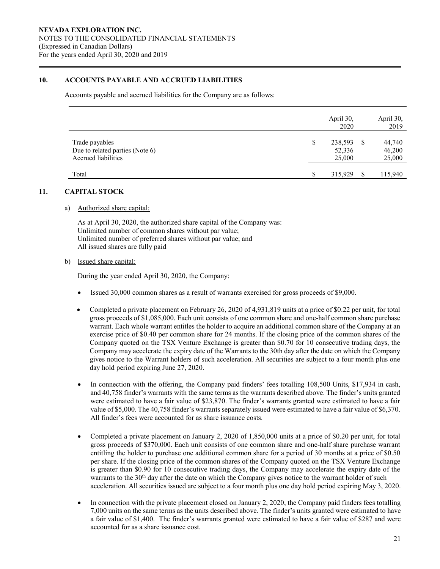### **10. ACCOUNTS PAYABLE AND ACCRUED LIABILITIES**

Accounts payable and accrued liabilities for the Company are as follows:

|                                                                          | April 30,<br>2020                |              | April 30,<br>2019          |
|--------------------------------------------------------------------------|----------------------------------|--------------|----------------------------|
| Trade payables<br>Due to related parties (Note 6)<br>Accrued liabilities | 238,593<br>S<br>52,336<br>25,000 | <sup>S</sup> | 44,740<br>46,200<br>25,000 |
| Total                                                                    | S<br>315,929                     | £.           | 115,940                    |

# **11. CAPITAL STOCK**

### a) Authorized share capital:

As at April 30, 2020, the authorized share capital of the Company was: Unlimited number of common shares without par value; Unlimited number of preferred shares without par value; and All issued shares are fully paid

### b) Issued share capital:

During the year ended April 30, 2020, the Company:

- Issued 30,000 common shares as a result of warrants exercised for gross proceeds of \$9,000.
- Completed a private placement on February 26, 2020 of 4,931,819 units at a price of \$0.22 per unit, for total gross proceeds of \$1,085,000. Each unit consists of one common share and one-half common share purchase warrant. Each whole warrant entitles the holder to acquire an additional common share of the Company at an exercise price of \$0.40 per common share for 24 months. If the closing price of the common shares of the Company quoted on the TSX Venture Exchange is greater than \$0.70 for 10 consecutive trading days, the Company may accelerate the expiry date of the Warrants to the 30th day after the date on which the Company gives notice to the Warrant holders of such acceleration. All securities are subject to a four month plus one day hold period expiring June 27, 2020.
- In connection with the offering, the Company paid finders' fees totalling 108,500 Units, \$17,934 in cash, and 40,758 finder's warrants with the same terms as the warrants described above. The finder's units granted were estimated to have a fair value of \$23,870. The finder's warrants granted were estimated to have a fair value of \$5,000. The 40,758 finder's warrants separately issued were estimated to have a fair value of \$6,370. All finder's fees were accounted for as share issuance costs.
- Completed a private placement on January 2, 2020 of 1,850,000 units at a price of \$0.20 per unit, for total gross proceeds of \$370,000. Each unit consists of one common share and one-half share purchase warrant entitling the holder to purchase one additional common share for a period of 30 months at a price of \$0.50 per share. If the closing price of the common shares of the Company quoted on the TSX Venture Exchange is greater than \$0.90 for 10 consecutive trading days, the Company may accelerate the expiry date of the warrants to the 30<sup>th</sup> day after the date on which the Company gives notice to the warrant holder of such acceleration. All securities issued are subject to a four month plus one day hold period expiring May 3, 2020.
- In connection with the private placement closed on January 2, 2020, the Company paid finders fees totalling 7,000 units on the same terms as the units described above. The finder's units granted were estimated to have a fair value of \$1,400. The finder's warrants granted were estimated to have a fair value of \$287 and were accounted for as a share issuance cost.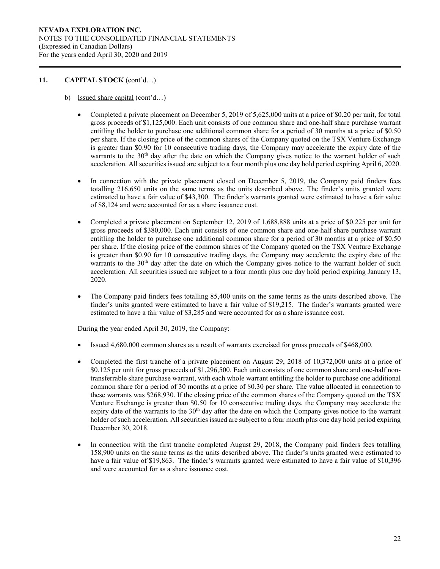- b) Issued share capital (cont'd…)
	- Completed a private placement on December 5, 2019 of 5,625,000 units at a price of \$0.20 per unit, for total gross proceeds of \$1,125,000. Each unit consists of one common share and one-half share purchase warrant entitling the holder to purchase one additional common share for a period of 30 months at a price of \$0.50 per share. If the closing price of the common shares of the Company quoted on the TSX Venture Exchange is greater than \$0.90 for 10 consecutive trading days, the Company may accelerate the expiry date of the warrants to the  $30<sup>th</sup>$  day after the date on which the Company gives notice to the warrant holder of such acceleration. All securities issued are subject to a four month plus one day hold period expiring April 6, 2020.
	- In connection with the private placement closed on December 5, 2019, the Company paid finders fees totalling 216,650 units on the same terms as the units described above. The finder's units granted were estimated to have a fair value of \$43,300. The finder's warrants granted were estimated to have a fair value of \$8,124 and were accounted for as a share issuance cost.
	- Completed a private placement on September 12, 2019 of 1,688,888 units at a price of \$0.225 per unit for gross proceeds of \$380,000. Each unit consists of one common share and one-half share purchase warrant entitling the holder to purchase one additional common share for a period of 30 months at a price of \$0.50 per share. If the closing price of the common shares of the Company quoted on the TSX Venture Exchange is greater than \$0.90 for 10 consecutive trading days, the Company may accelerate the expiry date of the warrants to the 30<sup>th</sup> day after the date on which the Company gives notice to the warrant holder of such acceleration. All securities issued are subject to a four month plus one day hold period expiring January 13, 2020.
	- The Company paid finders fees totalling 85,400 units on the same terms as the units described above. The finder's units granted were estimated to have a fair value of \$19,215. The finder's warrants granted were estimated to have a fair value of \$3,285 and were accounted for as a share issuance cost.

During the year ended April 30, 2019, the Company:

- Issued 4,680,000 common shares as a result of warrants exercised for gross proceeds of \$468,000.
- Completed the first tranche of a private placement on August 29, 2018 of 10,372,000 units at a price of \$0.125 per unit for gross proceeds of \$1,296,500. Each unit consists of one common share and one-half nontransferrable share purchase warrant, with each whole warrant entitling the holder to purchase one additional common share for a period of 30 months at a price of \$0.30 per share. The value allocated in connection to these warrants was \$268,930. If the closing price of the common shares of the Company quoted on the TSX Venture Exchange is greater than \$0.50 for 10 consecutive trading days, the Company may accelerate the expiry date of the warrants to the  $30<sup>th</sup>$  day after the date on which the Company gives notice to the warrant holder of such acceleration. All securities issued are subject to a four month plus one day hold period expiring December 30, 2018.
- In connection with the first tranche completed August 29, 2018, the Company paid finders fees totalling 158,900 units on the same terms as the units described above. The finder's units granted were estimated to have a fair value of \$19,863. The finder's warrants granted were estimated to have a fair value of \$10,396 and were accounted for as a share issuance cost.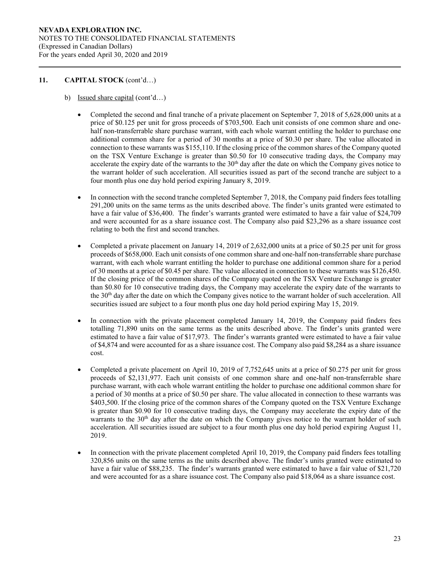- b) Issued share capital (cont'd…)
	- Completed the second and final tranche of a private placement on September 7, 2018 of 5,628,000 units at a price of \$0.125 per unit for gross proceeds of \$703,500. Each unit consists of one common share and onehalf non-transferrable share purchase warrant, with each whole warrant entitling the holder to purchase one additional common share for a period of 30 months at a price of \$0.30 per share. The value allocated in connection to these warrants was \$155,110. If the closing price of the common shares of the Company quoted on the TSX Venture Exchange is greater than \$0.50 for 10 consecutive trading days, the Company may accelerate the expiry date of the warrants to the  $30<sup>th</sup>$  day after the date on which the Company gives notice to the warrant holder of such acceleration. All securities issued as part of the second tranche are subject to a four month plus one day hold period expiring January 8, 2019.
	- In connection with the second tranche completed September 7, 2018, the Company paid finders fees totalling 291,200 units on the same terms as the units described above. The finder's units granted were estimated to have a fair value of \$36,400. The finder's warrants granted were estimated to have a fair value of \$24,709 and were accounted for as a share issuance cost. The Company also paid \$23,296 as a share issuance cost relating to both the first and second tranches.
	- Completed a private placement on January 14, 2019 of 2,632,000 units at a price of \$0.25 per unit for gross proceeds of \$658,000. Each unit consists of one common share and one-half non-transferrable share purchase warrant, with each whole warrant entitling the holder to purchase one additional common share for a period of 30 months at a price of \$0.45 per share. The value allocated in connection to these warrants was \$126,450. If the closing price of the common shares of the Company quoted on the TSX Venture Exchange is greater than \$0.80 for 10 consecutive trading days, the Company may accelerate the expiry date of the warrants to the 30<sup>th</sup> day after the date on which the Company gives notice to the warrant holder of such acceleration. All securities issued are subject to a four month plus one day hold period expiring May 15, 2019.
	- In connection with the private placement completed January 14, 2019, the Company paid finders fees totalling 71,890 units on the same terms as the units described above. The finder's units granted were estimated to have a fair value of \$17,973. The finder's warrants granted were estimated to have a fair value of \$4,874 and were accounted for as a share issuance cost. The Company also paid \$8,284 as a share issuance cost.
	- Completed a private placement on April 10, 2019 of 7,752,645 units at a price of \$0.275 per unit for gross proceeds of \$2,131,977. Each unit consists of one common share and one-half non-transferrable share purchase warrant, with each whole warrant entitling the holder to purchase one additional common share for a period of 30 months at a price of \$0.50 per share. The value allocated in connection to these warrants was \$403,500. If the closing price of the common shares of the Company quoted on the TSX Venture Exchange is greater than \$0.90 for 10 consecutive trading days, the Company may accelerate the expiry date of the warrants to the  $30<sup>th</sup>$  day after the date on which the Company gives notice to the warrant holder of such acceleration. All securities issued are subject to a four month plus one day hold period expiring August 11, 2019.
	- In connection with the private placement completed April 10, 2019, the Company paid finders fees totalling 320,856 units on the same terms as the units described above. The finder's units granted were estimated to have a fair value of \$88,235. The finder's warrants granted were estimated to have a fair value of \$21,720 and were accounted for as a share issuance cost. The Company also paid \$18,064 as a share issuance cost.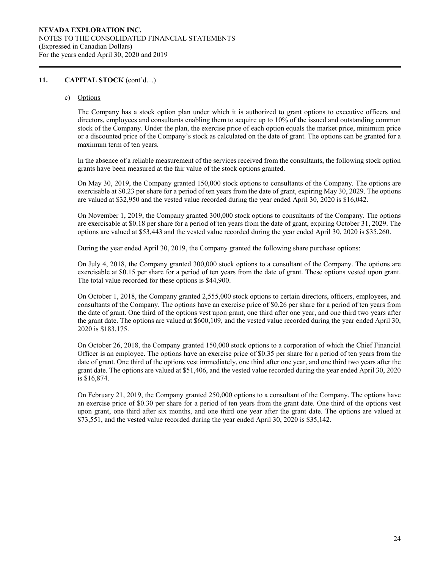#### c) Options

The Company has a stock option plan under which it is authorized to grant options to executive officers and directors, employees and consultants enabling them to acquire up to 10% of the issued and outstanding common stock of the Company. Under the plan, the exercise price of each option equals the market price, minimum price or a discounted price of the Company's stock as calculated on the date of grant. The options can be granted for a maximum term of ten years.

In the absence of a reliable measurement of the services received from the consultants, the following stock option grants have been measured at the fair value of the stock options granted.

On May 30, 2019, the Company granted 150,000 stock options to consultants of the Company. The options are exercisable at \$0.23 per share for a period of ten years from the date of grant, expiring May 30, 2029. The options are valued at \$32,950 and the vested value recorded during the year ended April 30, 2020 is \$16,042.

On November 1, 2019, the Company granted 300,000 stock options to consultants of the Company. The options are exercisable at \$0.18 per share for a period of ten years from the date of grant, expiring October 31, 2029. The options are valued at \$53,443 and the vested value recorded during the year ended April 30, 2020 is \$35,260.

During the year ended April 30, 2019, the Company granted the following share purchase options:

On July 4, 2018, the Company granted 300,000 stock options to a consultant of the Company. The options are exercisable at \$0.15 per share for a period of ten years from the date of grant. These options vested upon grant. The total value recorded for these options is \$44,900.

On October 1, 2018, the Company granted 2,555,000 stock options to certain directors, officers, employees, and consultants of the Company. The options have an exercise price of \$0.26 per share for a period of ten years from the date of grant. One third of the options vest upon grant, one third after one year, and one third two years after the grant date. The options are valued at \$600,109, and the vested value recorded during the year ended April 30, 2020 is \$183,175.

On October 26, 2018, the Company granted 150,000 stock options to a corporation of which the Chief Financial Officer is an employee. The options have an exercise price of \$0.35 per share for a period of ten years from the date of grant. One third of the options vest immediately, one third after one year, and one third two years after the grant date. The options are valued at \$51,406, and the vested value recorded during the year ended April 30, 2020 is \$16,874.

On February 21, 2019, the Company granted 250,000 options to a consultant of the Company. The options have an exercise price of \$0.30 per share for a period of ten years from the grant date. One third of the options vest upon grant, one third after six months, and one third one year after the grant date. The options are valued at \$73,551, and the vested value recorded during the year ended April 30, 2020 is \$35,142.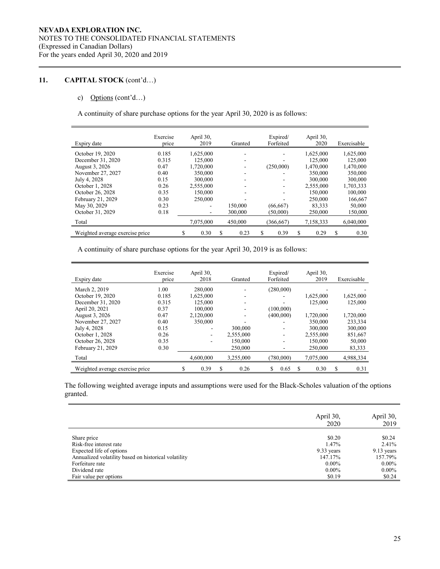### c) Options (cont'd…)

A continuity of share purchase options for the year April 30, 2020 is as follows:

| Expiry date                     | Exercise<br>price | April 30,<br>2019 | Granted    |   | Expired/<br>Forfeited |   | April 30,<br>2020 |   | Exercisable |
|---------------------------------|-------------------|-------------------|------------|---|-----------------------|---|-------------------|---|-------------|
| October 19, 2020                | 0.185             | 1.625,000         |            |   |                       |   | 1,625,000         |   | 1,625,000   |
| December 31, 2020               | 0.315             | 125,000           |            |   |                       |   | 125,000           |   | 125,000     |
| August 3, 2026                  | 0.47              | 1.720,000         |            |   | (250,000)             |   | 1,470,000         |   | 1,470,000   |
| November 27, 2027               | 0.40              | 350,000           |            |   |                       |   | 350,000           |   | 350,000     |
| July 4, 2028                    | 0.15              | 300,000           |            |   |                       |   | 300,000           |   | 300,000     |
| October 1, 2028                 | 0.26              | 2,555,000         |            |   |                       |   | 2,555,000         |   | 1,703,333   |
| October 26, 2028                | 0.35              | 150,000           |            |   |                       |   | 150,000           |   | 100,000     |
| February 21, 2029               | 0.30              | 250,000           |            |   |                       |   | 250,000           |   | 166,667     |
| May 30, 2029                    | 0.23              | ۰                 | 150,000    |   | (66, 667)             |   | 83.333            |   | 50,000      |
| October 31, 2029                | 0.18              | ۰                 | 300,000    |   | (50,000)              |   | 250,000           |   | 150,000     |
| Total                           |                   | 7,075,000         | 450,000    |   | (366, 667)            |   | 7,158,333         |   | 6,040,000   |
| Weighted average exercise price |                   | \$<br>0.30        | \$<br>0.23 | S | 0.39                  | S | 0.29              | S | 0.30        |

A continuity of share purchase options for the year April 30, 2019 is as follows:

| Expiry date                     | Exercise<br>price | April 30,<br>2018 | Granted   |   | Expired/<br>Forfeited    | April 30,<br>2019 | Exercisable |
|---------------------------------|-------------------|-------------------|-----------|---|--------------------------|-------------------|-------------|
| March 2, 2019                   | 1.00              | 280,000           |           |   | (280,000)                |                   |             |
| October 19, 2020                | 0.185             | 1,625,000         |           |   |                          | 1,625,000         | 1,625,000   |
| December 31, 2020               | 0.315             | 125,000           |           |   |                          | 125,000           | 125,000     |
| April 20, 2021                  | 0.37              | 100,000           |           |   | (100,000)                |                   |             |
| August 3, 2026                  | 0.47              | 2.120,000         |           |   | (400,000)                | 1,720,000         | 1,720,000   |
| November 27, 2027               | 0.40              | 350,000           |           |   |                          | 350,000           | 233,334     |
| July 4, 2028                    | 0.15              |                   | 300,000   |   |                          | 300,000           | 300,000     |
| October 1, 2028                 | 0.26              |                   | 2.555,000 |   |                          | 2,555,000         | 851,667     |
| October 26, 2028                | 0.35              | ۰.                | 150,000   |   | $\overline{\phantom{a}}$ | 150,000           | 50,000      |
| February 21, 2029               | 0.30              |                   | 250,000   |   |                          | 250,000           | 83,333      |
| Total                           |                   | 4,600,000         | 3,255,000 |   | (780,000)                | 7,075,000         | 4,988,334   |
| Weighted average exercise price |                   | 0.39              | 0.26      | S | 0.65                     | 0.30              | 0.31        |

The following weighted average inputs and assumptions were used for the Black-Scholes valuation of the options granted.

|                                                      | April 30,<br>2020 | April 30,<br>2019 |
|------------------------------------------------------|-------------------|-------------------|
| Share price<br>Risk-free interest rate               | \$0.20<br>1.47%   | \$0.24<br>2.41%   |
| Expected life of options                             | 9.33 years        | $9.13$ years      |
| Annualized volatility based on historical volatility | 147.17%           | 157.79%           |
| Forfeiture rate                                      | $0.00\%$          | $0.00\%$          |
| Dividend rate                                        | $0.00\%$          | $0.00\%$          |
| Fair value per options                               | \$0.19            | \$0.24            |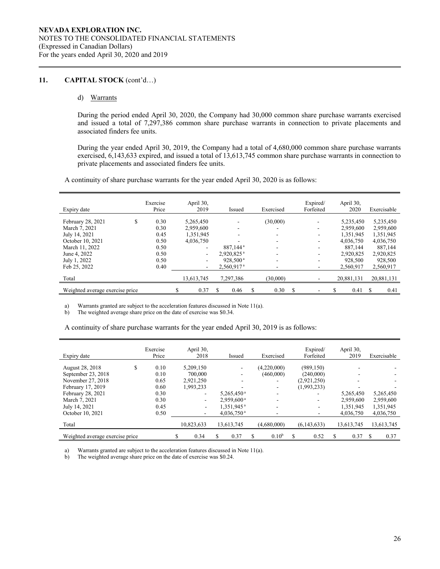#### d) Warrants

During the period ended April 30, 2020, the Company had 30,000 common share purchase warrants exercised and issued a total of 7,297,386 common share purchase warrants in connection to private placements and associated finders fee units.

During the year ended April 30, 2019, the Company had a total of 4,680,000 common share purchase warrants exercised, 6,143,633 expired, and issued a total of 13,613,745 common share purchase warrants in connection to private placements and associated finders fee units.

A continuity of share purchase warrants for the year ended April 30, 2020 is as follows:

| Expiry date                     |   | Exercise<br>Price | April 30,<br>2019        | Issued                   |   | Exercised |   | Expired/<br>Forfeited | April 30,  | 2020      |    | Exercisable |
|---------------------------------|---|-------------------|--------------------------|--------------------------|---|-----------|---|-----------------------|------------|-----------|----|-------------|
| February 28, 2021               | S | 0.30              | 5,265,450                | ۰                        |   | (30,000)  |   |                       |            | 5,235,450 |    | 5,235,450   |
| March 7, 2021                   |   | 0.30              | 2.959,600                | ۰.                       |   |           |   |                       |            | 2.959,600 |    | 2,959,600   |
| July 14, 2021                   |   | 0.45              | 1.351.945                | ۰                        |   | ۰         |   | ۰                     |            | 1.351.945 |    | 1,351,945   |
| October 10, 2021                |   | 0.50              | 4.036.750                | ۰.                       |   |           |   |                       |            | 4,036,750 |    | 4,036,750   |
| March 11, 2022                  |   | 0.50              | $\overline{\phantom{a}}$ | 887.144 <sup>a</sup>     |   |           |   |                       |            | 887.144   |    | 887.144     |
| June 4, 2022                    |   | 0.50              | $\sim$                   | $2.920.825$ <sup>a</sup> |   |           |   | ۰                     |            | 2.920.825 |    | 2,920,825   |
| July 1, 2022                    |   | 0.50              | $\overline{\phantom{0}}$ | 928.500 <sup>a</sup>     |   | ۰         |   | ۰                     |            | 928,500   |    | 928,500     |
| Feb 25, 2022                    |   | 0.40              | $\overline{\phantom{a}}$ | 2,560,917 <sup>a</sup>   |   |           |   |                       |            | 2,560,917 |    | 2,560,917   |
| Total                           |   |                   | 13,613,745               | 7,297,386                |   | (30,000)  |   |                       | 20,881,131 |           |    | 20,881,131  |
| Weighted average exercise price |   |                   | 0.37                     | 0.46                     | S | 0.30      | S |                       | S          | 0.41      | -S | 0.41        |

a) Warrants granted are subject to the acceleration features discussed in Note 11(a).

b) The weighted average share price on the date of exercise was \$0.34.

A continuity of share purchase warrants for the year ended April 30, 2019 is as follows:

| Expiry date                            | Exercise<br>Price |              | April 30,<br>2018        | Issued                                           | Exercised                | Expired/<br>Forfeited   | April 30,<br>2019      | Exercisable            |
|----------------------------------------|-------------------|--------------|--------------------------|--------------------------------------------------|--------------------------|-------------------------|------------------------|------------------------|
| August 28, 2018<br>September 23, 2018  | S                 | 0.10<br>0.10 | 5,209,150<br>700,000     |                                                  | (4,220,000)<br>(460,000) | (989, 150)<br>(240,000) |                        |                        |
| November 27, 2018                      |                   | 0.65         | 2,921,250                |                                                  |                          | (2,921,250)             |                        |                        |
| February 17, 2019<br>February 28, 2021 |                   | 0.60<br>0.30 | 1.993.233<br>۰           | $5,265,450$ <sup>a</sup>                         | ۰                        | (1,993,233)             | 5,265,450              | 5,265,450              |
| March 7, 2021<br>July 14, 2021         |                   | 0.30<br>0.45 |                          | $2.959.600^{\text{a}}$<br>1,351,945 <sup>a</sup> |                          |                         | 2.959,600<br>1.351.945 | 2.959,600<br>1,351,945 |
| October 10, 2021                       |                   | 0.50         | $\overline{\phantom{a}}$ | 4.036.750 <sup>a</sup>                           |                          |                         | 4,036,750              | 4,036,750              |
| Total                                  |                   |              | 10,823,633               | 13,613,745                                       | (4,680,000)              | (6, 143, 633)           | 13,613,745             | 13,613,745             |
| Weighted average exercise price        |                   |              | 0.34                     | 0.37                                             | 0.10 <sup>b</sup>        | S<br>0.52               | 0.37<br>\$             | 0.37                   |

a) Warrants granted are subject to the acceleration features discussed in Note 11(a).<br>b) The weighted average share price on the date of exercise was \$0.24.

The weighted average share price on the date of exercise was \$0.24.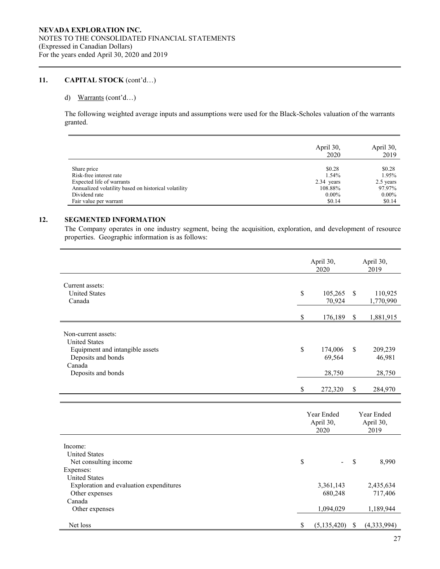### d) Warrants (cont'd…)

The following weighted average inputs and assumptions were used for the Black-Scholes valuation of the warrants granted.

|                     | 2019                         |
|---------------------|------------------------------|
| \$0.28<br>1.54%     | \$0.28<br>1.95%<br>2.5 years |
| 108.88%<br>$0.00\%$ | 97.97%<br>$0.00\%$<br>\$0.14 |
|                     | 2.34 years<br>\$0.14         |

# **12. SEGMENTED INFORMATION**

The Company operates in one industry segment, being the acquisition, exploration, and development of resource properties. Geographic information is as follows:

|                                             | April 30,<br>2020               |              | April 30,<br>2019               |  |
|---------------------------------------------|---------------------------------|--------------|---------------------------------|--|
| Current assets:                             |                                 |              |                                 |  |
| <b>United States</b>                        | \$<br>105,265                   | $\mathbb{S}$ | 110,925                         |  |
| Canada                                      | 70,924                          |              | 1,770,990                       |  |
|                                             | \$<br>176,189                   | \$           | 1,881,915                       |  |
| Non-current assets:<br><b>United States</b> |                                 |              |                                 |  |
| Equipment and intangible assets             | \$<br>174,006                   | \$           | 209,239                         |  |
| Deposits and bonds<br>Canada                | 69,564                          |              | 46,981                          |  |
| Deposits and bonds                          | 28,750                          |              | 28,750                          |  |
|                                             | \$<br>272,320                   | \$           | 284,970                         |  |
|                                             |                                 |              |                                 |  |
|                                             | Year Ended<br>April 30,<br>2020 |              | Year Ended<br>April 30,<br>2019 |  |
|                                             |                                 |              |                                 |  |
| Income:<br><b>United States</b>             |                                 |              |                                 |  |
| Net consulting income                       | \$                              | \$           | 8,990                           |  |
| Expenses:                                   |                                 |              |                                 |  |
| <b>United States</b>                        |                                 |              |                                 |  |
| Exploration and evaluation expenditures     | 3,361,143                       |              | 2,435,634                       |  |
| Other expenses                              | 680,248                         |              | 717,406                         |  |
| Canada<br>Other expenses                    | 1,094,029                       |              | 1,189,944                       |  |
|                                             |                                 |              |                                 |  |
| Net loss                                    | \$<br>(5, 135, 420)             | <sup>S</sup> | (4,333,994)                     |  |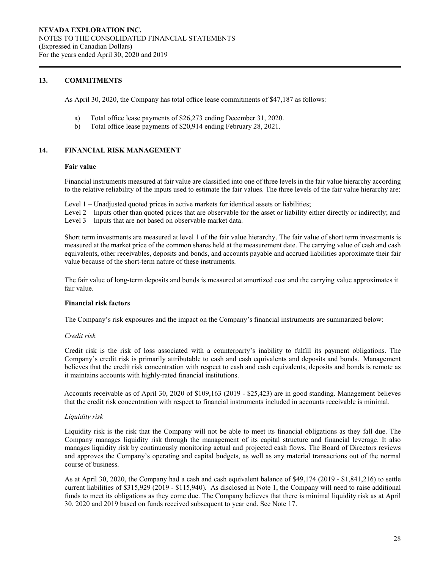# **13. COMMITMENTS**

As April 30, 2020, the Company has total office lease commitments of \$47,187 as follows:

- a) Total office lease payments of \$26,273 ending December 31, 2020.
- b) Total office lease payments of \$20,914 ending February 28, 2021.

# **14. FINANCIAL RISK MANAGEMENT**

#### **Fair value**

Financial instruments measured at fair value are classified into one of three levels in the fair value hierarchy according to the relative reliability of the inputs used to estimate the fair values. The three levels of the fair value hierarchy are:

- Level 1 Unadjusted quoted prices in active markets for identical assets or liabilities;
- Level 2 Inputs other than quoted prices that are observable for the asset or liability either directly or indirectly; and Level 3 – Inputs that are not based on observable market data.

Short term investments are measured at level 1 of the fair value hierarchy. The fair value of short term investments is measured at the market price of the common shares held at the measurement date. The carrying value of cash and cash equivalents, other receivables, deposits and bonds, and accounts payable and accrued liabilities approximate their fair value because of the short-term nature of these instruments.

The fair value of long-term deposits and bonds is measured at amortized cost and the carrying value approximates it fair value.

#### **Financial risk factors**

The Company's risk exposures and the impact on the Company's financial instruments are summarized below:

# *Credit risk*

Credit risk is the risk of loss associated with a counterparty's inability to fulfill its payment obligations. The Company's credit risk is primarily attributable to cash and cash equivalents and deposits and bonds. Management believes that the credit risk concentration with respect to cash and cash equivalents, deposits and bonds is remote as it maintains accounts with highly-rated financial institutions.

Accounts receivable as of April 30, 2020 of \$109,163 (2019 - \$25,423) are in good standing. Management believes that the credit risk concentration with respect to financial instruments included in accounts receivable is minimal.

# *Liquidity risk*

Liquidity risk is the risk that the Company will not be able to meet its financial obligations as they fall due. The Company manages liquidity risk through the management of its capital structure and financial leverage. It also manages liquidity risk by continuously monitoring actual and projected cash flows. The Board of Directors reviews and approves the Company's operating and capital budgets, as well as any material transactions out of the normal course of business.

As at April 30, 2020, the Company had a cash and cash equivalent balance of \$49,174 (2019 - \$1,841,216) to settle current liabilities of \$315,929 (2019 - \$115,940). As disclosed in Note 1, the Company will need to raise additional funds to meet its obligations as they come due. The Company believes that there is minimal liquidity risk as at April 30, 2020 and 2019 based on funds received subsequent to year end. See Note 17.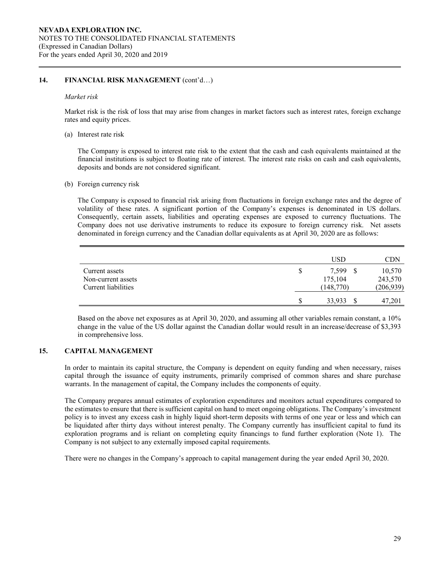### **14. FINANCIAL RISK MANAGEMENT** (cont'd…)

#### *Market risk*

Market risk is the risk of loss that may arise from changes in market factors such as interest rates, foreign exchange rates and equity prices.

(a) Interest rate risk

The Company is exposed to interest rate risk to the extent that the cash and cash equivalents maintained at the financial institutions is subject to floating rate of interest. The interest rate risks on cash and cash equivalents, deposits and bonds are not considered significant.

(b) Foreign currency risk

The Company is exposed to financial risk arising from fluctuations in foreign exchange rates and the degree of volatility of these rates. A significant portion of the Company's expenses is denominated in US dollars. Consequently, certain assets, liabilities and operating expenses are exposed to currency fluctuations. The Company does not use derivative instruments to reduce its exposure to foreign currency risk. Net assets denominated in foreign currency and the Canadian dollar equivalents as at April 30, 2020 are as follows:

|                     | USD        | CDN         |
|---------------------|------------|-------------|
| Current assets      | 7.599      | 10,570<br>S |
| Non-current assets  | 175,104    | 243,570     |
| Current liabilities | (148, 770) | (206, 939)  |
|                     | 33,933     | 47,201      |

Based on the above net exposures as at April 30, 2020, and assuming all other variables remain constant, a 10% change in the value of the US dollar against the Canadian dollar would result in an increase/decrease of \$3,393 in comprehensive loss.

# **15. CAPITAL MANAGEMENT**

In order to maintain its capital structure, the Company is dependent on equity funding and when necessary, raises capital through the issuance of equity instruments, primarily comprised of common shares and share purchase warrants. In the management of capital, the Company includes the components of equity.

The Company prepares annual estimates of exploration expenditures and monitors actual expenditures compared to the estimates to ensure that there is sufficient capital on hand to meet ongoing obligations. The Company's investment policy is to invest any excess cash in highly liquid short-term deposits with terms of one year or less and which can be liquidated after thirty days without interest penalty. The Company currently has insufficient capital to fund its exploration programs and is reliant on completing equity financings to fund further exploration (Note 1). The Company is not subject to any externally imposed capital requirements.

There were no changes in the Company's approach to capital management during the year ended April 30, 2020.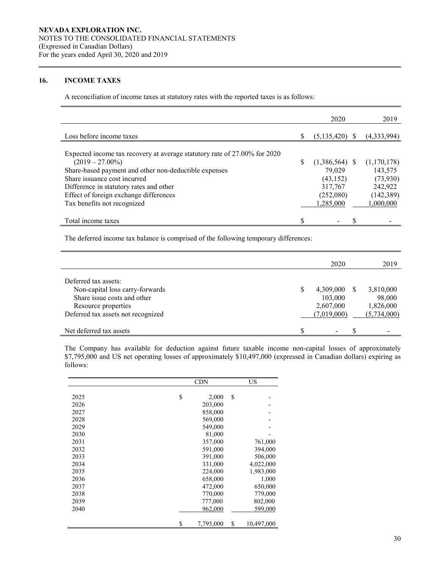# **16. INCOME TAXES**

A reconciliation of income taxes at statutory rates with the reported taxes is as follows:

|                                                                           | 2020             |    | 2019        |
|---------------------------------------------------------------------------|------------------|----|-------------|
| Loss before income taxes                                                  | (5,135,420)      | -S | (4,333,994) |
| Expected income tax recovery at average statutory rate of 27.00% for 2020 |                  |    |             |
| $(2019 - 27.00\%)$                                                        | $(1,386,564)$ \$ |    | (1,170,178) |
| Share-based payment and other non-deductible expenses                     | 79,029           |    | 143,575     |
| Share issuance cost incurred                                              | (43, 152)        |    | (73,930)    |
| Difference in statutory rates and other                                   | 317,767          |    | 242,922     |
| Effect of foreign exchange differences                                    | (252,080)        |    | (142, 389)  |
| Tax benefits not recognized                                               | 1.285.000        |    | 1,000,000   |
| Total income taxes                                                        |                  |    |             |

The deferred income tax balance is comprised of the following temporary differences:

|                                    |   | 2020        | 2019        |
|------------------------------------|---|-------------|-------------|
| Deferred tax assets:               |   |             |             |
| Non-capital loss carry-forwards    | S | 4,309,000   | 3,810,000   |
| Share issue costs and other        |   | 103,000     | 98,000      |
| Resource properties                |   | 2,607,000   | 1,826,000   |
| Deferred tax assets not recognized |   | (7,019,000) | (5,734,000) |
| Net deferred tax assets            |   |             |             |

The Company has available for deduction against future taxable income non-capital losses of approximately \$7,795,000 and US net operating losses of approximately \$10,497,000 (expressed in Canadian dollars) expiring as follows:

|      | <b>CDN</b>      | US               |  |
|------|-----------------|------------------|--|
| 2025 | \$<br>2,000     | \$               |  |
| 2026 | 203,000         |                  |  |
| 2027 | 858,000         |                  |  |
| 2028 | 569,000         |                  |  |
| 2029 | 549,000         |                  |  |
| 2030 | 81,000          |                  |  |
| 2031 | 357,000         | 761,000          |  |
| 2032 | 591,000         | 394,000          |  |
| 2033 | 391,000         | 506,000          |  |
| 2034 | 331,000         | 4,022,000        |  |
| 2035 | 224,000         | 1,983,000        |  |
| 2036 | 658,000         | 1,000            |  |
| 2037 | 472,000         | 650,000          |  |
| 2038 | 770,000         | 779,000          |  |
| 2039 | 777,000         | 802,000          |  |
| 2040 | 962,000         | 599,000          |  |
|      |                 |                  |  |
|      | \$<br>7,795,000 | \$<br>10,497,000 |  |